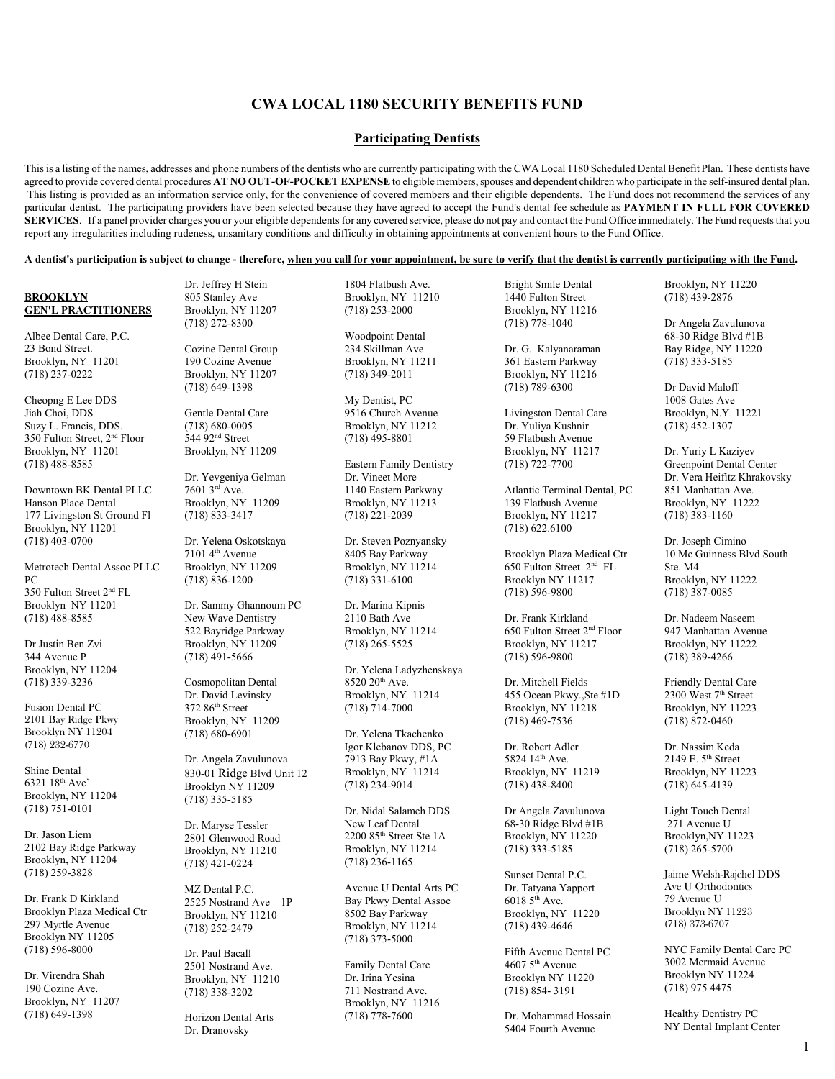# **CWA LOCAL 1180 SECURITY BENEFITS FUND**

## **Participating Dentists**

This is a listing of the names, addresses and phone numbers of the dentists who are currently participating with the CWA Local 1180 Scheduled Dental Benefit Plan. These dentists have agreed to provide covered dental procedures **AT NO OUT-OF-POCKET EXPENSE** to eligible members, spouses and dependent children who participate in the self-insured dental plan. This listing is provided as an information service only, for the convenience of covered members and their eligible dependents. The Fund does not recommend the services of any particular dentist. The participating providers have been selected because they have agreed to accept the Fund's dental fee schedule as **PAYMENT IN FULL FOR COVERED SERVICES**. If a panel provider charges you or your eligible dependents for any covered service, please do not pay and contact the Fund Office immediately. The Fund requests that you report any irregularities including rudeness, unsanitary conditions and difficulty in obtaining appointments at convenient hours to the Fund Office.

#### **A dentist's participation is subject to change - therefore, when you call for your appointment, be sure to verify that the dentist is currently participating with the Fund.**

## **BROOKLYN GEN'L PRACTITIONERS**

Albee Dental Care, P.C. 23 Bond Street. Brooklyn, NY 11201 (718) 237-0222

Cheopng E Lee DDS Jiah Choi, DDS Suzy L. Francis, DDS. 350 Fulton Street, 2nd Floor Brooklyn, NY 11201 (718) 488-8585

Downtown BK Dental PLLC Hanson Place Dental 177 Livingston St Ground Fl Brooklyn, NY 11201 (718) 403-0700

Metrotech Dental Assoc PLLC PC 350 Fulton Street 2nd FL Brooklyn NY 11201 (718) 488-8585

Dr Justin Ben Zvi 344 Avenue P Brooklyn, NY 11204 (718) 339-3236

Fusion Dental PC 2101 Bay Ridge Pkwy Brooklyn NY 11204 (718) 232-6770

Shine Dental 6321 18th Ave` Brooklyn, NY 11204 (718) 751-0101

Dr. Jason Liem 2102 Bay Ridge Parkway Brooklyn, NY 11204 (718) 259-3828

Dr. Frank D Kirkland Brooklyn Plaza Medical Ctr 297 Myrtle Avenue Brooklyn NY 11205 (718) 596-8000

Dr. Virendra Shah 190 Cozine Ave. Brooklyn, NY 11207 (718) 649-1398

Dr. Jeffrey H Stein 805 Stanley Ave Brooklyn, NY 11207 (718) 272-8300

> Cozine Dental Group 190 Cozine Avenue Brooklyn, NY 11207 (718) 649-1398

Gentle Dental Care (718) 680-0005 544 92<sup>nd</sup> Street Brooklyn, NY 11209

Dr. Yevgeniya Gelman 7601 3rd Ave. Brooklyn, NY 11209 (718) 833-3417

Dr. Yelena Oskotskaya 7101 4th Avenue Brooklyn, NY 11209 (718) 836-1200

Dr. Sammy Ghannoum PC New Wave Dentistry 522 Bayridge Parkway Brooklyn, NY 11209 (718) 491-5666

Cosmopolitan Dental Dr. David Levinsky 372 86<sup>th</sup> Street Brooklyn, NY 11209 (718) 680-6901

Dr. Angela Zavulunova 830-01 Ridge Blvd Unit 12 Brooklyn NY 11209 (718) 335-5185

Dr. Maryse Tessler 2801 Glenwood Road Brooklyn, NY 11210 (718) 421-0224

MZ Dental P.C. 2525 Nostrand Ave – 1P Brooklyn, NY 11210 (718) 252-2479

Dr. Paul Bacall 2501 Nostrand Ave. Brooklyn, NY 11210 (718) 338-3202

Horizon Dental Arts Dr. Dranovsky

1804 Flatbush Ave. Brooklyn, NY 11210 (718) 253-2000

Woodpoint Dental 234 Skillman Ave Brooklyn, NY 11211 (718) 349-2011

My Dentist, PC 9516 Church Avenue Brooklyn, NY 11212 (718) 495-8801

Eastern Family Dentistry Dr. Vineet More 1140 Eastern Parkway Brooklyn, NY 11213 (718) 221-2039

Dr. Steven Poznyansky 8405 Bay Parkway Brooklyn, NY 11214 (718) 331-6100

Dr. Marina Kipnis 2110 Bath Ave Brooklyn, NY 11214 (718) 265-5525

Dr. Yelena Ladyzhenskaya 8520 20<sup>th</sup> Ave. Brooklyn, NY 11214 (718) 714-7000

Dr. Yelena Tkachenko Igor Klebanov DDS, PC 7913 Bay Pkwy, #1A Brooklyn, NY 11214 (718) 234-9014

Dr. Nidal Salameh DDS New Leaf Dental  $2200\ 85^{\rm th}$  Street Ste $1\rm A$ Brooklyn, NY 11214 (718) 236-1165

Avenue U Dental Arts PC Bay Pkwy Dental Assoc 8502 Bay Parkway Brooklyn, NY 11214 (718) 373-5000

Family Dental Care Dr. Irina Yesina 711 Nostrand Ave. Brooklyn, NY 11216 (718) 778-7600

Bright Smile Dental 1440 Fulton Street Brooklyn, NY 11216 (718) 778-1040

Dr. G. Kalyanaraman 361 Eastern Parkway Brooklyn, NY 11216 (718) 789-6300

Livingston Dental Care Dr. Yuliya Kushnir 59 Flatbush Avenue Brooklyn, NY 11217 (718) 722-7700

Atlantic Terminal Dental, PC 139 Flatbush Avenue Brooklyn, NY 11217 (718) 622.6100

Brooklyn Plaza Medical Ctr 650 Fulton Street 2nd FL Brooklyn NY 11217 (718) 596-9800

Dr. Frank Kirkland 650 Fulton Street 2nd Floor Brooklyn, NY 11217 (718) 596-9800

Dr. Mitchell Fields 455 Ocean Pkwy.,Ste #1D Brooklyn, NY 11218 (718) 469-7536

Dr. Robert Adler 5824 14th Ave. Brooklyn, NY 11219 (718) 438-8400

Dr Angela Zavulunova 68-30 Ridge Blvd #1B Brooklyn, NY 11220 (718) 333-5185

Sunset Dental P.C. Dr. Tatyana Yapport  $60185^{\text{th}}$  Ave. Brooklyn, NY 11220 (718) 439-4646

Fifth Avenue Dental PC  $46075$ <sup>th</sup> Avenue Brooklyn NY 11220 (718) 854- 3191

Dr. Mohammad Hossain 5404 Fourth Avenue

Brooklyn, NY 11220 (718) 439-2876

Dr Angela Zavulunova 68-30 Ridge Blvd #1B Bay Ridge, NY 11220 (718) 333-5185

Dr David Maloff 1008 Gates Ave Brooklyn, N.Y. 11221 (718) 452-1307

Dr. Yuriy L Kaziyev Greenpoint Dental Center Dr. Vera Heifitz Khrakovsky 851 Manhattan Ave. Brooklyn, NY 11222 (718) 383-1160

Dr. Joseph Cimino 10 Mc Guinness Blvd South Ste. M4 Brooklyn, NY 11222 (718) 387-0085

Dr. Nadeem Naseem 947 Manhattan Avenue Brooklyn, NY 11222 (718) 389-4266

Friendly Dental Care  $2300$  West  $7<sup>th</sup>$  Street Brooklyn, NY 11223 (718) 872-0460

Dr. Nassim Keda 2149 E.  $5<sup>th</sup>$  Street Brooklyn, NY 11223 (718) 645-4139

Light Touch Dental 271 Avenue U Brooklyn,NY 11223 (718) 265-5700

Jaime Welsh-Rajchel DDS Ave U Orthodontics 79 Avenue U Brooklyn NY 11223 (718) 373-6707

NYC Family Dental Care PC 3002 Mermaid Avenue Brooklyn NY 11224 (718) 975 4475

Healthy Dentistry PC NY Dental Implant Center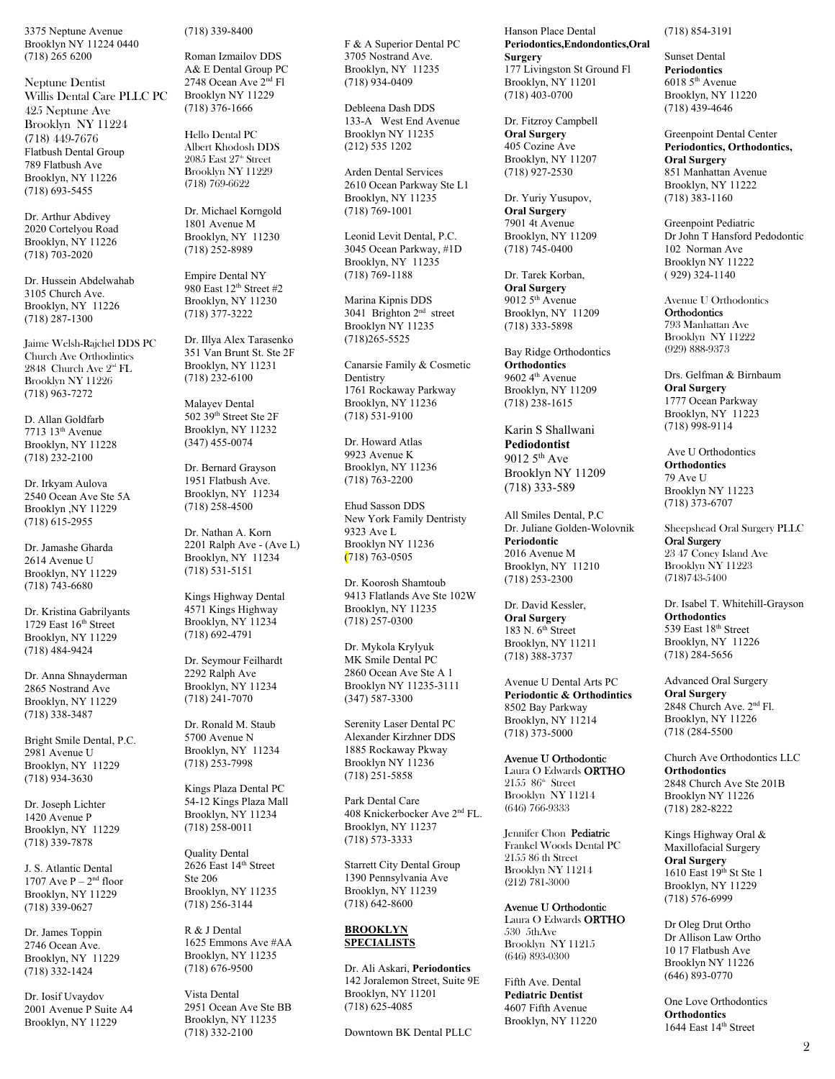3375 Neptune Avenue Brooklyn NY 11224 0440 (718) 265 6200

Neptune Dentist Willis Dental Care PLLC PC 425 Neptune Ave Brooklyn NY 11224 (718) 449-7676 Flatbush Dental Group 789 Flatbush Ave Brooklyn, NY 11226 (718) 693-5455

Dr. Arthur Abdivey 2020 Cortelyou Road Brooklyn, NY 11226 (718) 703-2020

Dr. Hussein Abdelwahab 3105 Church Ave. Brooklyn, NY 11226 (718) 287-1300

Jaime Welsh-Rajchel DDS PC Church Ave Orthodintics 2848 Church Ave 2nd FL Brooklyn NY 11226 (718) 963-7272

D. Allan Goldfarb 7713 13th Avenue Brooklyn, NY 11228 (718) 232-2100

Dr. Irkyam Aulova 2540 Ocean Ave Ste 5A Brooklyn ,NY 11229 (718) 615-2955

Dr. Jamashe Gharda 2614 Avenue U Brooklyn, NY 11229 (718) 743-6680

Dr. Kristina Gabrilyants 1729 East 16th Street Brooklyn, NY 11229 (718) 484-9424

Dr. Anna Shnayderman 2865 Nostrand Ave Brooklyn, NY 11229 (718) 338-3487

Bright Smile Dental, P.C. 2981 Avenue U Brooklyn, NY 11229 (718) 934-3630

Dr. Joseph Lichter 1420 Avenue P Brooklyn, NY 11229 (718) 339-7878

J. S. Atlantic Dental 1707 Ave  $P - 2<sup>nd</sup>$  floor Brooklyn, NY 11229 (718) 339-0627

Dr. James Toppin 2746 Ocean Ave. Brooklyn, NY 11229 (718) 332-1424

Dr. Iosif Uvaydov 2001 Avenue P Suite A4 Brooklyn, NY 11229

(718) 339-8400

Roman Izmailov DDS A& E Dental Group PC 2748 Ocean Ave 2nd Fl Brooklyn NY 11229 (718) 376-1666

Hello Dental PC Albert Khodosh DDS  $2085$  East  $27<sup>th</sup>$  Street Brooklyn NY 11229 (718) 769-6622

Dr. Michael Korngold 1801 Avenue M Brooklyn, NY 11230 (718) 252-8989

Empire Dental NY 980 East 12<sup>th</sup> Street #2 Brooklyn, NY 11230 (718) 377-3222

Dr. Illya Alex Tarasenko 351 Van Brunt St. Ste 2F Brooklyn, NY 11231 (718) 232-6100

Malayev Dental 502 39th Street Ste 2F Brooklyn, NY 11232 (347) 455-0074

Dr. Bernard Grayson 1951 Flatbush Ave. Brooklyn, NY 11234 (718) 258-4500

Dr. Nathan A. Korn 2201 Ralph Ave - (Ave L) Brooklyn, NY 11234 (718) 531-5151

Kings Highway Dental 4571 Kings Highway Brooklyn, NY 11234 (718) 692-4791

Dr. Seymour Feilhardt 2292 Ralph Ave Brooklyn, NY 11234 (718) 241-7070

Dr. Ronald M. Staub 5700 Avenue N Brooklyn, NY 11234 (718) 253-7998

Kings Plaza Dental PC 54-12 Kings Plaza Mall Brooklyn, NY 11234 (718) 258-0011

Quality Dental 2626 East 14th Street Ste 206 Brooklyn, NY 11235 (718) 256-3144

R & J Dental 1625 Emmons Ave #AA Brooklyn, NY 11235 (718) 676-9500

Vista Dental 2951 Ocean Ave Ste BB Brooklyn, NY 11235 (718) 332-2100

F & A Superior Dental PC 3705 Nostrand Ave. Brooklyn, NY 11235 (718) 934-0409

Debleena Dash DDS 133-A West End Avenue Brooklyn NY 11235 (212) 535 1202

Arden Dental Services 2610 Ocean Parkway Ste L1 Brooklyn, NY 11235 (718) 769-1001

Leonid Levit Dental, P.C. 3045 Ocean Parkway, #1D Brooklyn, NY 11235 (718) 769-1188

Marina Kipnis DDS 3041 Brighton 2nd street Brooklyn NY 11235 (718)265-5525

Canarsie Family & Cosmetic Dentistry 1761 Rockaway Parkway Brooklyn, NY 11236 (718) 531-9100

Dr. Howard Atlas 9923 Avenue K Brooklyn, NY 11236 (718) 763-2200

Ehud Sasson DDS New York Family Dentristy 9323 Ave L Brooklyn NY 11236 (718) 763-0505

Dr. Koorosh Shamtoub 9413 Flatlands Ave Ste 102W Brooklyn, NY 11235 (718) 257-0300

Dr. Mykola Krylyuk MK Smile Dental PC 2860 Ocean Ave Ste A 1 Brooklyn NY 11235-3111 (347) 587-3300

Serenity Laser Dental PC Alexander Kirzhner DDS 1885 Rockaway Pkway Brooklyn NY 11236 (718) 251-5858

Park Dental Care 408 Knickerbocker Ave 2nd FL. Brooklyn, NY 11237 (718) 573-3333

Starrett City Dental Group 1390 Pennsylvania Ave Brooklyn, NY 11239 (718) 642-8600

## **BROOKLYN SPECIALISTS**

Dr. Ali Askari, **Periodontics**  142 Joralemon Street, Suite 9E Brooklyn, NY 11201 (718) 625-4085

Downtown BK Dental PLLC

Hanson Place Dental **Periodontics,Endondontics,Oral Surgery**  177 Livingston St Ground Fl Brooklyn, NY 11201 (718) 403-0700

Dr. Fitzroy Campbell **Oral Surgery**  405 Cozine Ave Brooklyn, NY 11207 (718) 927-2530

Dr. Yuriy Yusupov, **Oral Surgery**  7901 4t Avenue Brooklyn, NY 11209 (718) 745-0400

Dr. Tarek Korban, **Oral Surgery**   $90125$ <sup>th</sup> Avenue Brooklyn, NY 11209 (718) 333-5898

Bay Ridge Orthodontics **Orthodontics**  9602 4<sup>th</sup> Avenue Brooklyn, NY 11209 (718) 238-1615

Karin S Shallwani **Pediodontist** 9012 5th Ave Brooklyn NY 11209 (718) 333-589

All Smiles Dental, P.C Dr. Juliane Golden-Wolovnik **Periodontic**  2016 Avenue M Brooklyn, NY 11210 (718) 253-2300

Dr. David Kessler, **Oral Surgery**  183 N. 6<sup>th</sup> Street Brooklyn, NY 11211 (718) 388-3737

Avenue U Dental Arts PC **Periodontic & Orthodintics**  8502 Bay Parkway Brooklyn, NY 11214 (718) 373-5000

Avenue U Orthodontic Laura O Edwards ORTHO  $2155$   $86^{\circ}$  Street Brooklyn NY 11214 (646) 766-9333

Jennifer Chon Pediatric Frankel Woods Dental PC 2155 86 th Street Brooklyn NY 11214 (212) 781-3000

## Avenue U Orthodontic

Laura O Edwards ORTHO 530 5thAve Brooklyn NY 11215 (646) 893-0300

Fifth Ave. Dental **Pediatric Dentist**  4607 Fifth Avenue Brooklyn, NY 11220 (718) 854-3191

Sunset Dental **Periodontics**  6018 5th Avenue Brooklyn, NY 11220 (718) 439-4646

Greenpoint Dental Center **Periodontics, Orthodontics, Oral Surgery**  851 Manhattan Avenue Brooklyn, NY 11222 (718) 383-1160

Greenpoint Pediatric Dr John T Hansford Pedodontic 102 Norman Ave Brooklyn NY 11222 ( 929) 324-1140

Avenue U Orthodontics **Orthodontics** 793 Manhattan Ave Brooklyn NY 11222 (929) 888-9373

Drs. Gelfman & Birnbaum **Oral Surgery** 1777 Ocean Parkway Brooklyn, NY 11223 (718) 998-9114

 Ave U Orthodontics **Orthodontics**  79 Ave U Brooklyn NY 11223 (718) 373-6707

Sheepshead Oral Surgery PLLC Oral Surgery 23 47 Coney Island Ave Brooklyn NY 11223 (718)743-5400

Dr. Isabel T. Whitehill-Grayson **Orthodontics**  539 East 18th Street Brooklyn, NY 11226 (718) 284-5656

Advanced Oral Surgery **Oral Surgery**  2848 Church Ave. 2nd Fl. Brooklyn, NY 11226 (718 (284-5500

Church Ave Orthodontics LLC **Orthodontics**  2848 Church Ave Ste 201B Brooklyn NY 11226 (718) 282-8222

Kings Highway Oral & Maxillofacial Surgery **Oral Surgery**   $1610$  East  $19<sup>th</sup>$  St Ste 1 Brooklyn, NY 11229 (718) 576-6999

Dr Oleg Drut Ortho Dr Allison Law Ortho 10 17 Flatbush Ave Brooklyn NY 11226 (646) 893-0770

One Love Orthodontics **Orthodontics**  1644 East 14<sup>th</sup> Street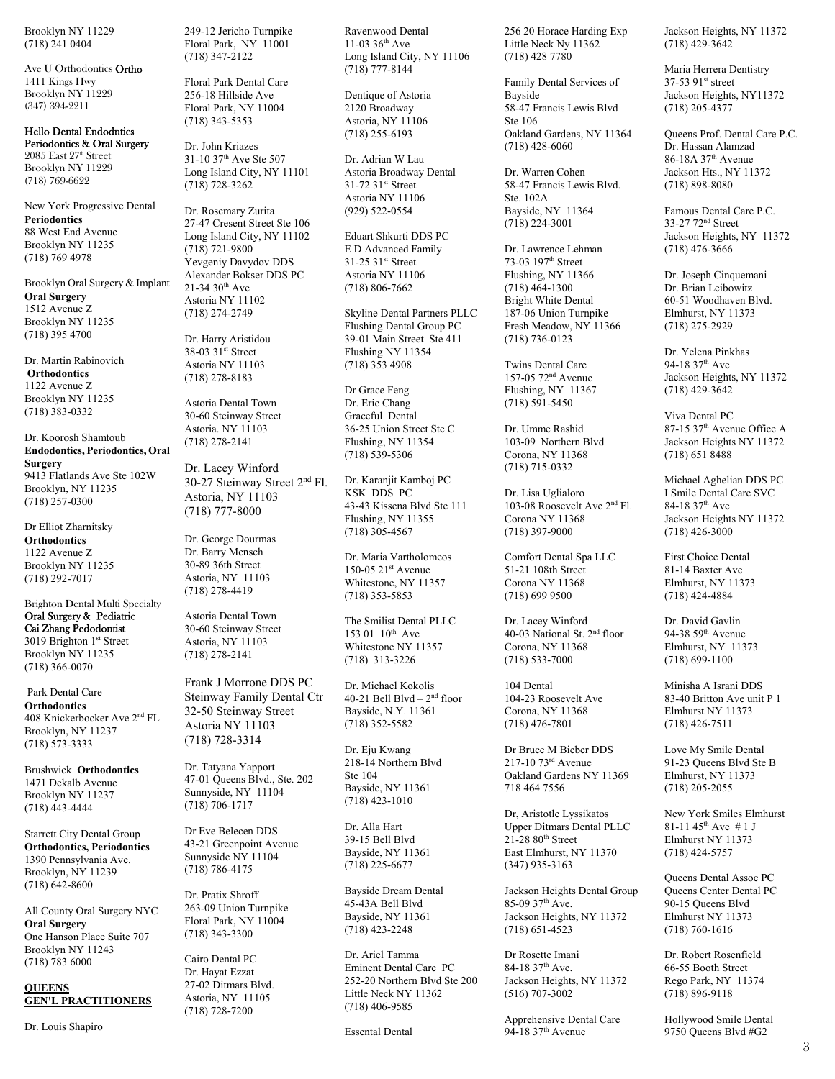Brooklyn NY 11229 (718) 241 0404

Ave U Orthodontics Ortho 1411 Kings Hwy Brooklyn NY 11229 (347) 394-2211

#### Hello Dental Endodntics Periodontics & Oral Surgery

 $2085$  East  $27<sup>th</sup>$  Street Brooklyn NY 11229 (718) 769-6622

New York Progressive Dental **Periodontics**  88 West End Avenue Brooklyn NY 11235 (718) 769 4978

Brooklyn Oral Surgery & Implant **Oral Surgery**  1512 Avenue Z Brooklyn NY 11235 (718) 395 4700

Dr. Martin Rabinovich **Orthodontics**  1122 Avenue Z Brooklyn NY 11235 (718) 383-0332

Dr. Koorosh Shamtoub **Endodontics, Periodontics, Oral Surgery**  9413 Flatlands Ave Ste 102W Brooklyn, NY 11235 (718) 257-0300

Dr Elliot Zharnitsky **Orthodontics** 1122 Avenue Z Brooklyn NY 11235 (718) 292-7017

Brighton Dental Multi Specialty Oral Surgery & Pediatric Cai Zhang Pedodontist 3019 Brighton 1st Street Brooklyn NY 11235 (718) 366-0070

 Park Dental Care **Orthodontics**  408 Knickerbocker Ave 2nd FL Brooklyn, NY 11237 (718) 573-3333

Brushwick **Orthodontics**  1471 Dekalb Avenue Brooklyn NY 11237 (718) 443-4444

Starrett City Dental Group **Orthodontics, Periodontics**  1390 Pennsylvania Ave. Brooklyn, NY 11239 (718) 642-8600

All County Oral Surgery NYC **Oral Surgery**  One Hanson Place Suite 707 Brooklyn NY 11243 (718) 783 6000

#### **QUEENS GEN'L PRACTITIONERS**

Dr. Louis Shapiro

249-12 Jericho Turnpike Floral Park, NY 11001 (718) 347-2122

Floral Park Dental Care 256-18 Hillside Ave Floral Park, NY 11004 (718) 343-5353

Dr. John Kriazes 31-10 37th Ave Ste 507 Long Island City, NY 11101 (718) 728-3262

Dr. Rosemary Zurita 27-47 Cresent Street Ste 106 Long Island City, NY 11102 (718) 721-9800 Yevgeniy Davydov DDS Alexander Bokser DDS PC  $21-34$  30<sup>th</sup> Ave Astoria NY 11102 (718) 274-2749

Dr. Harry Aristidou 38-03 31st Street Astoria NY 11103 (718) 278-8183

Astoria Dental Town 30-60 Steinway Street Astoria. NY 11103 (718) 278-2141

Dr. Lacey Winford 30-27 Steinway Street 2nd Fl. Astoria, NY 11103 (718) 777-8000

Dr. George Dourmas Dr. Barry Mensch 30-89 36th Street Astoria, NY 11103 (718) 278-4419

Astoria Dental Town 30-60 Steinway Street Astoria, NY 11103 (718) 278-2141

Frank J Morrone DDS PC Steinway Family Dental Ctr 32-50 Steinway Street Astoria NY 11103 (718) 728-3314

Dr. Tatyana Yapport 47-01 Queens Blvd., Ste. 202 Sunnyside, NY 11104 (718) 706-1717

Dr Eve Belecen DDS 43-21 Greenpoint Avenue Sunnyside NY 11104 (718) 786-4175

Dr. Pratix Shroff 263-09 Union Turnpike Floral Park, NY 11004 (718) 343-3300

Cairo Dental PC Dr. Hayat Ezzat 27-02 Ditmars Blvd. Astoria, NY 11105 (718) 728-7200

Ravenwood Dental 11-03 36th Ave Long Island City, NY 11106 (718) 777-8144

Dentique of Astoria 2120 Broadway Astoria, NY 11106 (718) 255-6193

Dr. Adrian W Lau Astoria Broadway Dental 31-72 31st Street Astoria NY 11106 (929) 522-0554

Eduart Shkurti DDS PC E D Advanced Family 31-25 31st Street Astoria NY 11106 (718) 806-7662

Skyline Dental Partners PLLC Flushing Dental Group PC 39-01 Main Street Ste 411 Flushing NY 11354 (718) 353 4908

Dr Grace Feng Dr. Eric Chang Graceful Dental 36-25 Union Street Ste C Flushing, NY 11354 (718) 539-5306

Dr. Karanjit Kamboj PC KSK DDS PC 43-43 Kissena Blvd Ste 111 Flushing, NY 11355 (718) 305-4567

Dr. Maria Vartholomeos 150-05 21st Avenue Whitestone, NY 11357 (718) 353-5853

The Smilist Dental PLLC  $153.01 \cdot 10^{th}$  Ave Whitestone NY 11357 (718) 313-3226

Dr. Michael Kokolis 40-21 Bell Blvd –  $2<sup>nd</sup>$  floor Bayside, N.Y. 11361 (718) 352-5582

Dr. Eju Kwang 218-14 Northern Blvd Ste 104 Bayside, NY 11361 (718) 423-1010

Dr. Alla Hart 39-15 Bell Blvd Bayside, NY 11361 (718) 225-6677

Bayside Dream Dental 45-43A Bell Blvd Bayside, NY 11361 (718) 423-2248

Dr. Ariel Tamma Eminent Dental Care PC 252-20 Northern Blvd Ste 200 Little Neck NY 11362 (718) 406-9585

Essental Dental

256 20 Horace Harding Exp Little Neck Ny 11362 (718) 428 7780

Family Dental Services of Bayside 58-47 Francis Lewis Blvd Ste 106 Oakland Gardens, NY 11364 (718) 428-6060

Dr. Warren Cohen 58-47 Francis Lewis Blvd. Ste. 102A Bayside, NY 11364 (718) 224-3001

Dr. Lawrence Lehman 73-03 197th Street Flushing, NY 11366 (718) 464-1300 Bright White Dental 187-06 Union Turnpike Fresh Meadow, NY 11366 (718) 736-0123

Twins Dental Care 157-05 72nd Avenue Flushing, NY 11367 (718) 591-5450

Dr. Umme Rashid 103-09 Northern Blvd Corona, NY 11368 (718) 715-0332

Dr. Lisa Uglialoro 103-08 Roosevelt Ave 2nd Fl. Corona NY 11368 (718) 397-9000

Comfort Dental Spa LLC 51-21 108th Street Corona NY 11368 (718) 699 9500

Dr. Lacey Winford 40-03 National St. 2nd floor Corona, NY 11368 (718) 533-7000

104 Dental 104-23 Roosevelt Ave Corona, NY 11368 (718) 476-7801

Dr Bruce M Bieber DDS 217-10 73rd Avenue Oakland Gardens NY 11369 718 464 7556

Dr, Aristotle Lyssikatos Upper Ditmars Dental PLLC  $21-28$   $80<sup>th</sup>$  Street East Elmhurst, NY 11370 (347) 935-3163

Jackson Heights Dental Group  $85-09$  37<sup>th</sup> Ave. Jackson Heights, NY 11372 (718) 651-4523

Dr Rosette Imani 84-18 37<sup>th</sup> Ave. Jackson Heights, NY 11372 (516) 707-3002

Apprehensive Dental Care 94-18 37<sup>th</sup> Avenue

Jackson Heights, NY 11372 (718) 429-3642

Maria Herrera Dentistry 37-53 91st street Jackson Heights, NY11372 (718) 205-4377

Queens Prof. Dental Care P.C. Dr. Hassan Alamzad 86-18A 37th Avenue Jackson Hts., NY 11372 (718) 898-8080

Famous Dental Care P.C. 33-27 72nd Street Jackson Heights, NY 11372 (718) 476-3666

Dr. Joseph Cinquemani Dr. Brian Leibowitz 60-51 Woodhaven Blvd. Elmhurst, NY 11373 (718) 275-2929

Dr. Yelena Pinkhas 94-18 37<sup>th</sup> Ave Jackson Heights, NY 11372 (718) 429-3642

Viva Dental PC 87-15 37<sup>th</sup> Avenue Office A Jackson Heights NY 11372 (718) 651 8488

Michael Aghelian DDS PC I Smile Dental Care SVC 84-18 37<sup>th</sup> Ave Jackson Heights NY 11372 (718) 426-3000

First Choice Dental 81-14 Baxter Ave Elmhurst, NY 11373 (718) 424-4884

Dr. David Gavlin 94-38 59th Avenue Elmhurst, NY 11373 (718) 699-1100

Minisha A Israni DDS 83-40 Britton Ave unit P 1 Elmhurst NY 11373 (718) 426-7511

Love My Smile Dental 91-23 Queens Blvd Ste B Elmhurst, NY 11373 (718) 205-2055

New York Smiles Elmhurst 81-11 45th Ave # 1 J Elmhurst NY 11373 (718) 424-5757

Queens Dental Assoc PC Queens Center Dental PC 90-15 Queens Blvd Elmhurst NY 11373 (718) 760-1616

Dr. Robert Rosenfield 66-55 Booth Street Rego Park, NY 11374 (718) 896-9118

Hollywood Smile Dental 9750 Queens Blvd #G2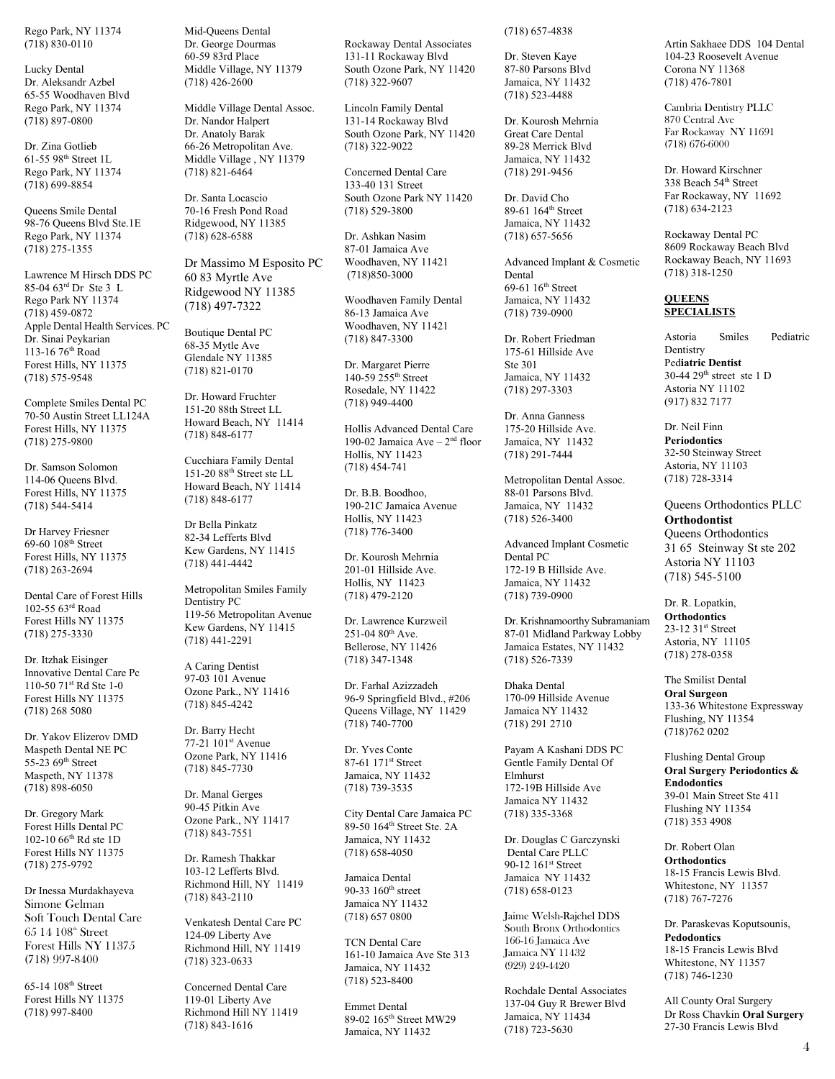Rego Park, NY 11374 (718) 830-0110

Lucky Dental Dr. Aleksandr Azbel 65-55 Woodhaven Blvd Rego Park, NY 11374 (718) 897-0800

Dr. Zina Gotlieb 61-55 98th Street 1L Rego Park, NY 11374 (718) 699-8854

Queens Smile Dental 98-76 Queens Blvd Ste.1E Rego Park, NY 11374 (718) 275-1355

Lawrence M Hirsch DDS PC 85-04 63rd Dr Ste 3 L Rego Park NY 11374 (718) 459-0872 Apple Dental Health Services. PC Dr. Sinai Peykarian 113-16 76th Road Forest Hills, NY 11375 (718) 575-9548

Complete Smiles Dental PC 70-50 Austin Street LL124A Forest Hills, NY 11375 (718) 275-9800

Dr. Samson Solomon 114-06 Queens Blvd. Forest Hills, NY 11375 (718) 544-5414

Dr Harvey Friesner  $69-60$   $108<sup>th</sup>$  Street Forest Hills, NY 11375 (718) 263-2694

Dental Care of Forest Hills 102-55 63rd Road Forest Hills NY 11375 (718) 275-3330

Dr. Itzhak Eisinger Innovative Dental Care Pc 110-50 71st Rd Ste 1-0 Forest Hills NY 11375 (718) 268 5080

Dr. Yakov Elizerov DMD Maspeth Dental NE PC 55-23 69<sup>th</sup> Street Maspeth, NY 11378 (718) 898-6050

Dr. Gregory Mark Forest Hills Dental PC 102-10 66th Rd ste 1D Forest Hills NY 11375 (718) 275-9792

Dr Inessa Murdakhayeva Simone Gelman Soft Touch Dental Care  $65$  14  $108<sup>th</sup>$  Street Forest Hills NY 11375 (718) 997-8400

65-14 108th Street Forest Hills NY 11375 (718) 997-8400

Mid-Queens Dental Dr. George Dourmas 60-59 83rd Place Middle Village, NY 11379 (718) 426-2600

Middle Village Dental Assoc. Dr. Nandor Halpert Dr. Anatoly Barak 66-26 Metropolitan Ave. Middle Village , NY 11379 (718) 821-6464

Dr. Santa Locascio 70-16 Fresh Pond Road Ridgewood, NY 11385 (718) 628-6588

Dr Massimo M Esposito PC 60 83 Myrtle Ave Ridgewood NY 11385 (718) 497-7322

Boutique Dental PC 68-35 Mytle Ave Glendale NY 11385 (718) 821-0170

Dr. Howard Fruchter 151-20 88th Street LL Howard Beach, NY 11414 (718) 848-6177

Cucchiara Family Dental 151-20 88th Street ste LL Howard Beach, NY 11414 (718) 848-6177

Dr Bella Pinkatz 82-34 Lefferts Blvd Kew Gardens, NY 11415 (718) 441-4442

Metropolitan Smiles Family Dentistry PC 119-56 Metropolitan Avenue Kew Gardens, NY 11415 (718) 441-2291

A Caring Dentist 97-03 101 Avenue Ozone Park., NY 11416 (718) 845-4242

Dr. Barry Hecht 77-21 101st Avenue Ozone Park, NY 11416 (718) 845-7730

Dr. Manal Gerges 90-45 Pitkin Ave Ozone Park., NY 11417 (718) 843-7551

Dr. Ramesh Thakkar 103-12 Lefferts Blvd. Richmond Hill, NY 11419 (718) 843-2110

Venkatesh Dental Care PC 124-09 Liberty Ave Richmond Hill, NY 11419 (718) 323-0633

Concerned Dental Care 119-01 Liberty Ave Richmond Hill NY 11419 (718) 843-1616

Rockaway Dental Associates 131-11 Rockaway Blvd South Ozone Park, NY 11420 (718) 322-9607

Lincoln Family Dental 131-14 Rockaway Blvd South Ozone Park, NY 11420 (718) 322-9022

Concerned Dental Care 133-40 131 Street South Ozone Park NY 11420 (718) 529-3800

Dr. Ashkan Nasim 87-01 Jamaica Ave Woodhaven, NY 11421 (718)850-3000

Woodhaven Family Dental 86-13 Jamaica Ave Woodhaven, NY 11421 (718) 847-3300

Dr. Margaret Pierre 140-59 255th Street Rosedale, NY 11422 (718) 949-4400

Hollis Advanced Dental Care 190-02 Jamaica Ave  $-2<sup>nd</sup>$  floor Hollis, NY 11423 (718) 454-741

Dr. B.B. Boodhoo, 190-21C Jamaica Avenue Hollis, NY 11423 (718) 776-3400

Dr. Kourosh Mehrnia 201-01 Hillside Ave. Hollis, NY 11423 (718) 479-2120

Dr. Lawrence Kurzweil  $251-0480^{th}$  Ave. Bellerose, NY 11426 (718) 347-1348

Dr. Farhal Azizzadeh 96-9 Springfield Blvd., #206 Queens Village, NY 11429 (718) 740-7700

Dr. Yves Conte 87-61 171st Street Jamaica, NY 11432 (718) 739-3535

City Dental Care Jamaica PC 89-50 164th Street Ste. 2A Jamaica, NY 11432 (718) 658-4050

Jamaica Dental 90-33 160<sup>th</sup> street Jamaica NY 11432 (718) 657 0800

TCN Dental Care 161-10 Jamaica Ave Ste 313 Jamaica, NY 11432 (718) 523-8400

Emmet Dental 89-02 165th Street MW29 Jamaica, NY 11432

(718) 657-4838

Dr. Steven Kaye 87-80 Parsons Blvd Jamaica, NY 11432 (718) 523-4488

Dr. Kourosh Mehrnia Great Care Dental 89-28 Merrick Blvd Jamaica, NY 11432 (718) 291-9456

Dr. David Cho 89-61 164th Street Jamaica, NY 11432 (718) 657-5656

Advanced Implant & Cosmetic Dental 69-61  $16<sup>th</sup>$  Street Jamaica, NY 11432 (718) 739-0900

Dr. Robert Friedman 175-61 Hillside Ave Ste 301 Jamaica, NY 11432 (718) 297-3303

Dr. Anna Ganness 175-20 Hillside Ave. Jamaica, NY 11432 (718) 291-7444

Metropolitan Dental Assoc. 88-01 Parsons Blvd. Jamaica, NY 11432 (718) 526-3400

Advanced Implant Cosmetic Dental PC 172-19 B Hillside Ave. Jamaica, NY 11432 (718) 739-0900

Dr. Krishnamoorthy Subramaniam 87-01 Midland Parkway Lobby Jamaica Estates, NY 11432 (718) 526-7339

Dhaka Dental 170-09 Hillside Avenue Jamaica NY 11432 (718) 291 2710

Payam A Kashani DDS PC Gentle Family Dental Of Elmhurst 172-19B Hillside Ave Jamaica NY 11432 (718) 335-3368

Dr. Douglas C Garczynski Dental Care PLLC 90-12 161st Street Jamaica NY 11432 (718) 658-0123

Jaime Welsh-Rajchel DDS South Bronx Orthodontics 166-16 Jamaica Ave Jamaica NY 11432 (929) 249-4420

Rochdale Dental Associates 137-04 Guy R Brewer Blvd Jamaica, NY 11434 (718) 723-5630

Artin Sakhaee DDS 104 Dental 104-23 Roosevelt Avenue Corona NY 11368 (718) 476-7801

Cambria Dentistry PLLC 870 Central Ave Far Rockaway NY 11691 (718) 676-6000

Dr. Howard Kirschner 338 Beach 54th Street Far Rockaway, NY 11692 (718) 634-2123

Rockaway Dental PC 8609 Rockaway Beach Blvd Rockaway Beach, NY 11693 (718) 318-1250

## **QUEENS SPECIALISTS**

Astoria Smiles Pediatric Dentistry Ped**iatric Dentist**  30-44 29th street ste 1 D Astoria NY 11102 (917) 832 7177

Dr. Neil Finn **Periodontics**  32-50 Steinway Street Astoria, NY 11103 (718) 728-3314

Queens Orthodontics PLLC **Orthodontist**  Queens Orthodontics 31 65 Steinway St ste 202 Astoria NY 11103 (718) 545-5100

Dr. R. Lopatkin, **Orthodontics**  23-12 31st Street Astoria, NY 11105 (718) 278-0358

The Smilist Dental **Oral Surgeon**  133-36 Whitestone Expressway Flushing, NY 11354 (718)762 0202

Flushing Dental Group **Oral Surgery Periodontics & Endodontics**  39-01 Main Street Ste 411 Flushing NY 11354 (718) 353 4908

Dr. Robert Olan **Orthodontics** 18-15 Francis Lewis Blvd. Whitestone, NY 11357 (718) 767-7276

Dr. Paraskevas Koputsounis, **Pedodontics**  18-15 Francis Lewis Blvd Whitestone, NY 11357 (718) 746-1230

All County Oral Surgery Dr Ross Chavkin **Oral Surgery**  27-30 Francis Lewis Blvd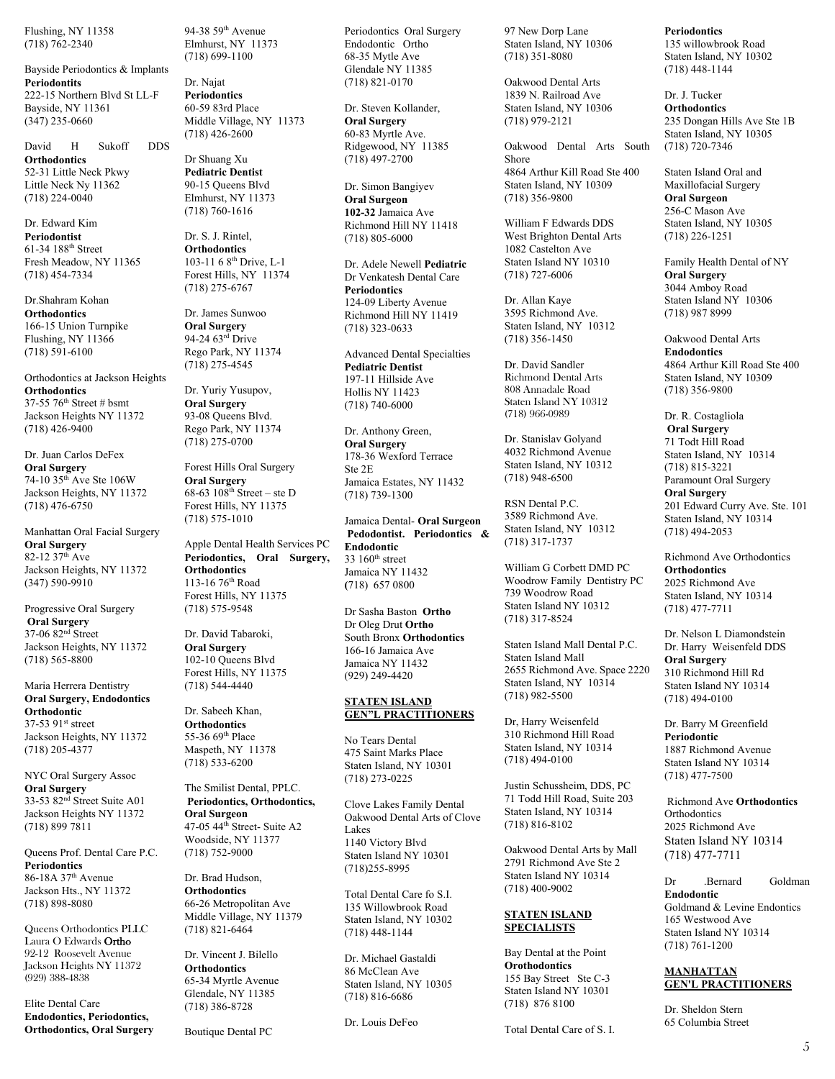Flushing, NY 11358 (718) 762-2340

Bayside Periodontics & Implants **Periodontits**  222-15 Northern Blvd St LL-F Bayside, NY 11361 (347) 235-0660

David H Sukoff DDS **Orthodontics**  52-31 Little Neck Pkwy Little Neck Ny 11362 (718) 224-0040

Dr. Edward Kim **Periodontist**  61-34 188th Street Fresh Meadow, NY 11365 (718) 454-7334

Dr.Shahram Kohan **Orthodontics** 166-15 Union Turnpike Flushing, NY 11366 (718) 591-6100

Orthodontics at Jackson Heights **Orthodontics**  37-55 76th Street # bsmt Jackson Heights NY 11372 (718) 426-9400

Dr. Juan Carlos DeFex **Oral Surgery**  74-10 35th Ave Ste 106W Jackson Heights, NY 11372 (718) 476-6750

Manhattan Oral Facial Surgery **Oral Surgery**  82-12 37<sup>th</sup> Ave Jackson Heights, NY 11372 (347) 590-9910

Progressive Oral Surgery  **Oral Surgery**  37-06 82nd Street Jackson Heights, NY 11372 (718) 565-8800

Maria Herrera Dentistry **Oral Surgery, Endodontics Orthodontic**  37-53 91<sup>st</sup> street Jackson Heights, NY 11372 (718) 205-4377

NYC Oral Surgery Assoc **Oral Surgery**  33-53 82nd Street Suite A01 Jackson Heights NY 11372 (718) 899 7811

Queens Prof. Dental Care P.C. **Periodontics**  86-18A 37th Avenue Jackson Hts., NY 11372 (718) 898-8080

Queens Orthodontics PLLC Laura O Edwards Ortho 92-12 Roosevelt Avenue Jackson Heights NY 11372 (929) 388-4838

Elite Dental Care **Endodontics, Periodontics, Orthodontics, Oral Surgery** 94-38 59th Avenue Elmhurst, NY 11373 (718) 699-1100

Dr. Najat **Periodontics** 60-59 83rd Place Middle Village, NY 11373  $(718)$  426-2600

Dr Shuang Xu **Pediatric Dentist**  90-15 Queens Blvd Elmhurst, NY 11373 (718) 760-1616

Dr. S. J. Rintel, **Orthodontics**  103-11 6 8th Drive, L-1 Forest Hills, NY 11374 (718) 275-6767

Dr. James Sunwoo **Oral Surgery**  94-24 63<sup>rd</sup> Drive Rego Park, NY 11374 (718) 275-4545

Dr. Yuriy Yusupov, **Oral Surgery**  93-08 Queens Blvd. Rego Park, NY 11374 (718) 275-0700

Forest Hills Oral Surgery **Oral Surgery**  68-63  $108^{th}$  Street – ste D Forest Hills, NY 11375 (718) 575-1010

Apple Dental Health Services PC **Periodontics, Oral Surgery, Orthodontics** 113-16 76th Road Forest Hills, NY 11375 (718) 575-9548

Dr. David Tabaroki, **Oral Surgery**  102-10 Queens Blvd Forest Hills, NY 11375 (718) 544-4440

Dr. Sabeeh Khan, **Orthodontics** 55-36 69th Place Maspeth, NY 11378 (718) 533-6200

The Smilist Dental, PPLC.  **Periodontics, Orthodontics, Oral Surgeon**  47-05 44<sup>th</sup> Street- Suite A2 Woodside, NY 11377 (718) 752-9000

Dr. Brad Hudson, **Orthodontics** 66-26 Metropolitan Ave Middle Village, NY 11379 (718) 821-6464

Dr. Vincent J. Bilello **Orthodontics** 65-34 Myrtle Avenue Glendale, NY 11385 (718) 386-8728

Boutique Dental PC

Periodontics Oral Surgery Endodontic Ortho 68-35 Mytle Ave Glendale NY 11385 (718) 821-0170

Dr. Steven Kollander, **Oral Surgery**  60-83 Myrtle Ave. Ridgewood, NY 11385 (718) 497-2700

Dr. Simon Bangiyev **Oral Surgeon 102-32** Jamaica Ave Richmond Hill NY 11418 (718) 805-6000

Dr. Adele Newell **Pediatric** Dr Venkatesh Dental Care **Periodontics**  124-09 Liberty Avenue Richmond Hill NY 11419 (718) 323-0633

Advanced Dental Specialties **Pediatric Dentist**  197-11 Hillside Ave Hollis NY 11423 (718) 740-6000

Dr. Anthony Green, **Oral Surgery**  178-36 Wexford Terrace Ste 2E Jamaica Estates, NY 11432 (718) 739-1300

Jamaica Dental- **Oral Surgeon Pedodontist. Periodontics & Endodontic**   $33160<sup>th</sup>$  street Jamaica NY 11432 **(**718) 657 0800

Dr Sasha Baston **Ortho** Dr Oleg Drut **Ortho** South Bronx **Orthodontics** 166-16 Jamaica Ave Jamaica NY 11432 (929) 249-4420

#### **STATEN ISLAND GEN"L PRACTITIONERS**

No Tears Dental 475 Saint Marks Place Staten Island, NY 10301 (718) 273-0225

Clove Lakes Family Dental Oakwood Dental Arts of Clove Lakes 1140 Victory Blvd Staten Island NY 10301 (718)255-8995

Total Dental Care fo S.I. 135 Willowbrook Road Staten Island, NY 10302 (718) 448-1144

Dr. Michael Gastaldi 86 McClean Ave Staten Island, NY 10305 (718) 816-6686

Dr. Louis DeFeo

97 New Dorp Lane Staten Island, NY 10306 (718) 351-8080

Oakwood Dental Arts 1839 N. Railroad Ave Staten Island, NY 10306 (718) 979-2121

Oakwood Dental Arts South Shore 4864 Arthur Kill Road Ste 400 Staten Island, NY 10309 (718) 356-9800

William F Edwards DDS West Brighton Dental Arts 1082 Castelton Ave Staten Island NY 10310 (718) 727-6006

Dr. Allan Kaye 3595 Richmond Ave. Staten Island, NY 10312 (718) 356-1450

Dr. David Sandler Richmond Dental Arts 808 Annadale Road Staten Island NY 10312 (718) 966-0989

Dr. Stanislav Golyand 4032 Richmond Avenue Staten Island, NY 10312 (718) 948-6500

RSN Dental P.C. 3589 Richmond Ave. Staten Island, NY 10312 (718) 317-1737

William G Corbett DMD PC Woodrow Family Dentistry PC 739 Woodrow Road Staten Island NY 10312 (718) 317-8524

Staten Island Mall Dental P.C. Staten Island Mall 2655 Richmond Ave. Space 2220 Staten Island, NY 10314 (718) 982-5500

Dr, Harry Weisenfeld 310 Richmond Hill Road Staten Island, NY 10314 (718) 494-0100

Justin Schussheim, DDS, PC 71 Todd Hill Road, Suite 203 Staten Island, NY 10314 (718) 816-8102

Oakwood Dental Arts by Mall 2791 Richmond Ave Ste 2 Staten Island NY 10314 (718) 400-9002

#### **STATEN ISLAND SPECIALISTS**

Bay Dental at the Point **Orothodontics**  155 Bay Street Ste C-3 Staten Island NY 10301 (718) 876 8100

Total Dental Care of S. I.

**Periodontics** 

135 willowbrook Road Staten Island, NY 10302 (718) 448-1144

Dr. J. Tucker **Orthodontics**  235 Dongan Hills Ave Ste 1B Staten Island, NY 10305 (718) 720-7346

Staten Island Oral and Maxillofacial Surgery **Oral Surgeon**  256-C Mason Ave Staten Island, NY 10305 (718) 226-1251

Family Health Dental of NY **Oral Surgery**  3044 Amboy Road Staten Island NY 10306 (718) 987 8999

Oakwood Dental Arts **Endodontics**  4864 Arthur Kill Road Ste 400 Staten Island, NY 10309 (718) 356-9800

Dr. R. Costagliola **Oral Surgery** 71 Todt Hill Road Staten Island, NY 10314 (718) 815-3221 Paramount Oral Surgery **Oral Surgery**  201 Edward Curry Ave. Ste. 101 Staten Island, NY 10314 (718) 494-2053

Richmond Ave Orthodontics **Orthodontics**  2025 Richmond Ave Staten Island, NY 10314 (718) 477-7711

Dr. Nelson L Diamondstein Dr. Harry Weisenfeld DDS **Oral Surgery**  310 Richmond Hill Rd Staten Island NY 10314 (718) 494-0100

Dr. Barry M Greenfield **Periodontic**  1887 Richmond Avenue Staten Island NY 10314 (718) 477-7500

 Richmond Ave **Orthodontics Orthodontics** 2025 Richmond Ave Staten Island NY 10314 (718) 477-7711

Dr .Bernard Goldman **Endodontic**  Goldmand & Levine Endontics 165 Westwood Ave Staten Island NY 10314 (718) 761-1200

#### **MANHATTAN GEN'L PRACTITIONERS**

Dr. Sheldon Stern 65 Columbia Street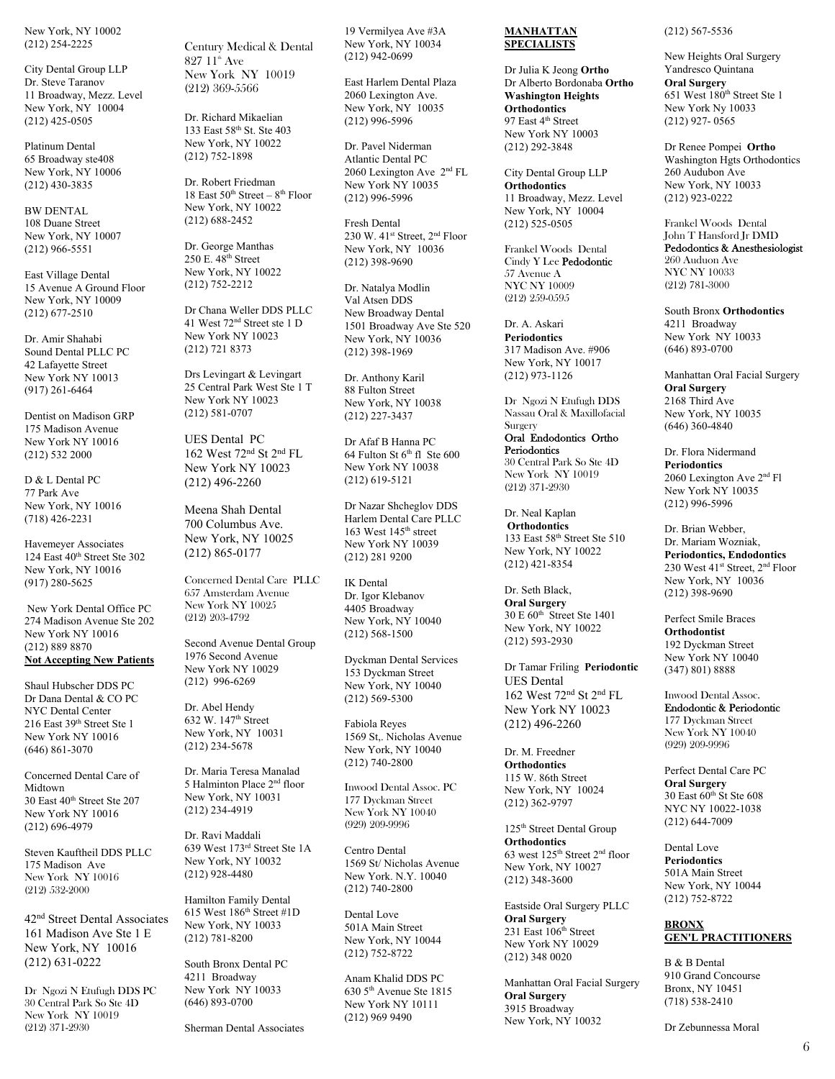New York, NY 10002 (212) 254-2225

City Dental Group LLP Dr. Steve Taranov 11 Broadway, Mezz. Level New York, NY 10004 (212) 425-0505

Platinum Dental 65 Broadway ste408 New York, NY 10006 (212) 430-3835

BW DENTAL 108 Duane Street New York, NY 10007 (212) 966-5551

East Village Dental 15 Avenue A Ground Floor New York, NY 10009 (212) 677-2510

Dr. Amir Shahabi Sound Dental PLLC PC 42 Lafayette Street New York NY 10013 (917) 261-6464

Dentist on Madison GRP 175 Madison Avenue New York NY 10016 (212) 532 2000

D & L Dental PC 77 Park Ave New York, NY 10016 (718) 426-2231

Havemeyer Associates 124 East 40<sup>th</sup> Street Ste 302 New York, NY 10016 (917) 280-5625

 New York Dental Office PC 274 Madison Avenue Ste 202 New York NY 10016 (212) 889 8870 **Not Accepting New Patients** 

Shaul Hubscher DDS PC Dr Dana Dental & CO PC NYC Dental Center 216 East 39th Street Ste 1 New York NY 10016 (646) 861-3070

Concerned Dental Care of Midtown 30 East 40<sup>th</sup> Street Ste 207 New York NY 10016 (212) 696-4979

Steven Kauftheil DDS PLLC 175 Madison Ave New York NY 10016 (212) 532-2000

42nd Street Dental Associates 161 Madison Ave Ste 1 E New York, NY 10016 (212) 631-0222

Dr Ngozi N Etufugh DDS PC 30 Central Park So Ste 4D New York NY 10019 (212) 371-2930

Century Medical & Dental 827  $11<sup>th</sup>$  Ave New York NY 10019 (212) 369-5566

Dr. Richard Mikaelian 133 East 58th St. Ste 403 New York, NY 10022 (212) 752-1898

Dr. Robert Friedman 18 East  $50^{th}$  Street –  $8^{th}$  Floor New York, NY 10022 (212) 688-2452

Dr. George Manthas 250 E. 48th Street New York, NY 10022 (212) 752-2212

Dr Chana Weller DDS PLLC 41 West 72nd Street ste 1 D New York NY 10023 (212) 721 8373

Drs Levingart & Levingart 25 Central Park West Ste 1 T New York NY 10023 (212) 581-0707

UES Dental PC 162 West 72nd St 2nd FL New York NY 10023 (212) 496-2260

Meena Shah Dental 700 Columbus Ave. New York, NY 10025 (212) 865-0177

Concerned Dental Care PLLC 657 Amsterdam Avenue New York NY 10025 (212) 203-4792

Second Avenue Dental Group 1976 Second Avenue New York NY 10029 (212) 996-6269

Dr. Abel Hendy 632 W. 147th Street New York, NY 10031 (212) 234-5678

Dr. Maria Teresa Manalad 5 Halminton Place 2nd floor New York, NY 10031 (212) 234-4919

Dr. Ravi Maddali 639 West 173rd Street Ste 1A New York, NY 10032 (212) 928-4480

Hamilton Family Dental 615 West  $186^{th}$  Street #1D New York, NY 10033 (212) 781-8200

South Bronx Dental PC 4211 Broadway New York NY 10033 (646) 893-0700

Sherman Dental Associates

19 Vermilyea Ave #3A New York, NY 10034 (212) 942-0699

East Harlem Dental Plaza 2060 Lexington Ave. New York, NY 10035 (212) 996-5996

Dr. Pavel Niderman Atlantic Dental PC 2060 Lexington Ave 2nd FL New York NY 10035 (212) 996-5996

Fresh Dental 230 W. 41<sup>st</sup> Street, 2<sup>nd</sup> Floor New York, NY 10036 (212) 398-9690

Dr. Natalya Modlin Val Atsen DDS New Broadway Dental 1501 Broadway Ave Ste 520 New York, NY 10036 (212) 398-1969

Dr. Anthony Karil 88 Fulton Street New York, NY 10038 (212) 227-3437

Dr Afaf B Hanna PC 64 Fulton St  $6<sup>th</sup>$  fl Ste 600 New York NY 10038 (212) 619-5121

Dr Nazar Shcheglov DDS Harlem Dental Care PLLC 163 West 145th street New York NY 10039 (212) 281 9200

IK Dental Dr. Igor Klebanov 4405 Broadway New York, NY 10040 (212) 568-1500

Dyckman Dental Services 153 Dyckman Street New York, NY 10040 (212) 569-5300

Fabiola Reyes 1569 St,. Nicholas Avenue New York, NY 10040 (212) 740-2800

Inwood Dental Assoc. PC 177 Dyckman Street New York NY 10040 (929) 209-9996

Centro Dental 1569 St/ Nicholas Avenue New York. N.Y. 10040 (212) 740-2800

Dental Love 501A Main Street New York, NY 10044 (212) 752-8722

Anam Khalid DDS PC 630 5th Avenue Ste 1815 New York NY 10111 (212) 969 9490

#### **MANHATTAN SPECIALISTS**

Dr Julia K Jeong **Ortho** Dr Alberto Bordonaba **Ortho Washington Heights Orthodontics** 97 East 4<sup>th</sup> Street New York NY 10003 (212) 292-3848

City Dental Group LLP **Orthodontics**  11 Broadway, Mezz. Level New York, NY 10004 (212) 525-0505

Frankel Woods Dental Cindy Y Lee Pedodontic 57 Avenue A NYC NY 10009 (212) 259-0595

Dr. A. Askari **Periodontics** 317 Madison Ave. #906 New York, NY 10017 (212) 973-1126

Dr Ngozi N Etufugh DDS Nassau Oral & Maxillofacial Surgery

Oral Endodontics Ortho **Periodontics** 30 Central Park So Ste 4D New York NY 10019 (212) 371-2930

Dr. Neal Kaplan **Orthodontics**  133 East 58th Street Ste 510 New York, NY 10022 (212) 421-8354

Dr. Seth Black, **Oral Surgery**  30 E 60th Street Ste 1401 New York, NY 10022 (212) 593-2930

Dr Tamar Friling **Periodontic** UES Dental 162 West 72nd St 2nd FL New York NY 10023 (212) 496-2260

Dr. M. Freedner **Orthodontics** 115 W. 86th Street New York, NY 10024 (212) 362-9797

125th Street Dental Group **Orthodontics**  63 west 125th Street 2nd floor New York, NY 10027 (212) 348-3600

Eastside Oral Surgery PLLC **Oral Surgery**  231 East 106<sup>th</sup> Street New York NY 10029 (212) 348 0020

Manhattan Oral Facial Surgery **Oral Surgery**  3915 Broadway New York, NY 10032

#### (212) 567-5536

New Heights Oral Surgery Yandresco Quintana **Oral Surgery** 651 West 180th Street Ste 1 New York Ny 10033 (212) 927- 0565

Dr Renee Pompei **Ortho** Washington Hgts Orthodontics 260 Audubon Ave New York, NY 10033 (212) 923-0222

Frankel Woods Dental John T Hansford Jr DMD Pedodontics & Anesthesiologist 260 Auduon Ave NYC NY 10033 (212) 781-3000

South Bronx **Orthodontics**  4211 Broadway New York NY 10033 (646) 893-0700

Manhattan Oral Facial Surgery **Oral Surgery**  2168 Third Ave New York, NY 10035 (646) 360-4840

Dr. Flora Nidermand **Periodontics**  2060 Lexington Ave 2nd Fl New York NY 10035 (212) 996-5996

Dr. Brian Webber, Dr. Mariam Wozniak, **Periodontics, Endodontics**  230 West 41<sup>st</sup> Street, 2<sup>nd</sup> Floor New York, NY 10036 (212) 398-9690

Perfect Smile Braces **Orthodontist**  192 Dyckman Street New York NY 10040 (347) 801) 8888

Inwood Dental Assoc. Endodontic & Periodontic 177 Dyckman Street New York NY 10040 (929) 209-9996

Perfect Dental Care PC **Oral Surgery**  30 East  $60^{th}$  St Ste 608 NYC NY 10022-1038 (212) 644-7009

Dental Love **Periodontics**  501A Main Street New York, NY 10044 (212) 752-8722

## **BRONX GEN'L PRACTITIONERS**

B & B Dental 910 Grand Concourse Bronx, NY 10451 (718) 538-2410

Dr Zebunnessa Moral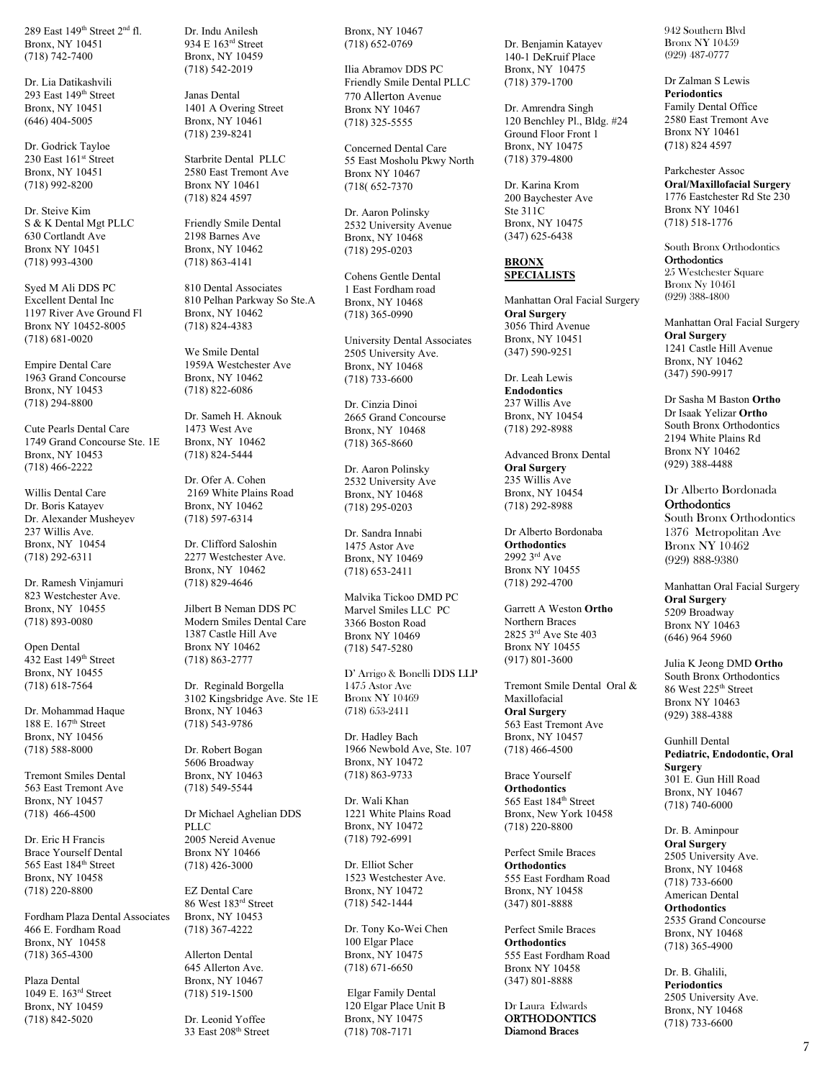289 East 149<sup>th</sup> Street 2<sup>nd</sup> fl. Bronx, NY 10451 (718) 742-7400

Dr. Lia Datikashvili 293 East 149th Street Bronx, NY 10451 (646) 404-5005

Dr. Godrick Tayloe 230 East 161st Street Bronx, NY 10451 (718) 992-8200

Dr. Steive Kim S & K Dental Mgt PLLC 630 Cortlandt Ave Bronx NY 10451 (718) 993-4300

Syed M Ali DDS PC Excellent Dental Inc 1197 River Ave Ground Fl Bronx NY 10452-8005 (718) 681-0020

Empire Dental Care 1963 Grand Concourse Bronx, NY 10453 (718) 294-8800

Cute Pearls Dental Care 1749 Grand Concourse Ste. 1E Bronx, NY 10453 (718) 466-2222

Willis Dental Care Dr. Boris Katayev Dr. Alexander Musheyev 237 Willis Ave. Bronx, NY 10454 (718) 292-6311

Dr. Ramesh Vinjamuri 823 Westchester Ave. Bronx, NY 10455 (718) 893-0080

Open Dental  $432$  East 149<sup>th</sup> Street Bronx, NY 10455 (718) 618-7564

Dr. Mohammad Haque 188 E. 167th Street Bronx, NY 10456 (718) 588-8000

Tremont Smiles Dental 563 East Tremont Ave Bronx, NY 10457 (718) 466-4500

Dr. Eric H Francis Brace Yourself Dental 565 East 184th Street Bronx, NY 10458 (718) 220-8800

Fordham Plaza Dental Associates 466 E. Fordham Road Bronx, NY 10458 (718) 365-4300

Plaza Dental 1049 E. 163rd Street Bronx, NY 10459 (718) 842-5020

Dr. Indu Anilesh 934 E 163rd Street Bronx, NY 10459 (718) 542-2019

Janas Dental 1401 A Overing Street Bronx, NY 10461 (718) 239-8241

Starbrite Dental PLLC 2580 East Tremont Ave Bronx NY 10461 (718) 824 4597

Friendly Smile Dental 2198 Barnes Ave Bronx, NY 10462 (718) 863-4141

810 Dental Associates 810 Pelhan Parkway So Ste.A Bronx, NY 10462 (718) 824-4383

We Smile Dental 1959A Westchester Ave Bronx, NY 10462 (718) 822-6086

Dr. Sameh H. Aknouk 1473 West Ave Bronx, NY 10462 (718) 824-5444

Dr. Ofer A. Cohen 2169 White Plains Road Bronx, NY 10462 (718) 597-6314

Dr. Clifford Saloshin 2277 Westchester Ave. Bronx, NY 10462 (718) 829-4646

Jilbert B Neman DDS PC Modern Smiles Dental Care 1387 Castle Hill Ave Bronx NY 10462 (718) 863-2777

Dr. Reginald Borgella 3102 Kingsbridge Ave. Ste 1E Bronx, NY 10463 (718) 543-9786

Dr. Robert Bogan 5606 Broadway Bronx, NY 10463 (718) 549-5544

Dr Michael Aghelian DDS PLLC 2005 Nereid Avenue Bronx NY 10466 (718) 426-3000

EZ Dental Care 86 West 183rd Street Bronx, NY 10453 (718) 367-4222

Allerton Dental 645 Allerton Ave. Bronx, NY 10467 (718) 519-1500

Dr. Leonid Yoffee 33 East 208th Street Bronx, NY 10467 (718) 652-0769

Ilia Abramov DDS PC Friendly Smile Dental PLLC 770 Allerton Avenue Bronx NY 10467 (718) 325-5555

Concerned Dental Care 55 East Mosholu Pkwy North Bronx NY 10467 (718( 652-7370

Dr. Aaron Polinsky 2532 University Avenue Bronx, NY 10468 (718) 295-0203

Cohens Gentle Dental 1 East Fordham road Bronx, NY 10468 (718) 365-0990

University Dental Associates 2505 University Ave. Bronx, NY 10468 (718) 733-6600

Dr. Cinzia Dinoi 2665 Grand Concourse Bronx, NY 10468 (718) 365-8660

Dr. Aaron Polinsky 2532 University Ave Bronx, NY 10468 (718) 295-0203

Dr. Sandra Innabi 1475 Astor Ave Bronx, NY 10469 (718) 653-2411

Malvika Tickoo DMD PC Marvel Smiles LLC PC 3366 Boston Road Bronx NY 10469 (718) 547-5280

D' Arrigo & Bonelli DDS LLP 1475 Astor Ave Bronx NY 10469 (718) 653-2411

Dr. Hadley Bach 1966 Newbold Ave, Ste. 107 Bronx, NY 10472 (718) 863-9733

Dr. Wali Khan 1221 White Plains Road Bronx, NY 10472 (718) 792-6991

Dr. Elliot Scher 1523 Westchester Ave. Bronx, NY 10472 (718) 542-1444

Dr. Tony Ko-Wei Chen 100 Elgar Place Bronx, NY 10475 (718) 671-6650

 Elgar Family Dental 120 Elgar Place Unit B Bronx, NY 10475 (718) 708-7171

Dr. Benjamin Katayev 140-1 DeKruif Place Bronx, NY 10475 (718) 379-1700

Dr. Amrendra Singh 120 Benchley Pl., Bldg. #24 Ground Floor Front 1 Bronx, NY 10475 (718) 379-4800

Dr. Karina Krom 200 Baychester Ave Ste 311C Bronx, NY 10475 (347) 625-6438

#### **BRONX SPECIALISTS**

Manhattan Oral Facial Surgery **Oral Surgery**  3056 Third Avenue Bronx, NY 10451 (347) 590-9251

Dr. Leah Lewis **Endodontics**  237 Willis Ave Bronx, NY 10454 (718) 292-8988

Advanced Bronx Dental **Oral Surgery**  235 Willis Ave Bronx, NY 10454 (718) 292-8988

Dr Alberto Bordonaba **Orthodontics** 2992 3rd Ave Bronx NY 10455 (718) 292-4700

Garrett A Weston **Ortho**  Northern Braces 2825 3rd Ave Ste 403 Bronx NY 10455 (917) 801-3600

Tremont Smile Dental Oral & Maxillofacial **Oral Surgery**  563 East Tremont Ave Bronx, NY 10457 (718) 466-4500

Brace Yourself **Orthodontics**  565 East 184th Street Bronx, New York 10458 (718) 220-8800

Perfect Smile Braces **Orthodontics**  555 East Fordham Road Bronx, NY 10458 (347) 801-8888

Perfect Smile Braces **Orthodontics**  555 East Fordham Road Bronx NY 10458 (347) 801-8888

Dr Laura Edwards **ORTHODONTICS** Diamond Braces

942 Southern Blvd Bronx NY 10459 (929) 487-0777

Dr Zalman S Lewis **Periodontics**  Family Dental Office 2580 East Tremont Ave Bronx NY 10461 **(**718) 824 4597

Parkchester Assoc **Oral/Maxillofacial Surgery**  1776 Eastchester Rd Ste 230 Bronx NY 10461 (718) 518-1776

South Bronx Orthodontics **Orthodontics** 25 Westchester Square Bronx Ny 10461 (929) 388-4800

Manhattan Oral Facial Surgery **Oral Surgery**  1241 Castle Hill Avenue Bronx, NY 10462 (347) 590-9917

Dr Sasha M Baston **Ortho** Dr Isaak Yelizar **Ortho**  South Bronx Orthodontics 2194 White Plains Rd Bronx NY 10462 (929) 388-4488

Dr Alberto Bordonada **Orthodontics** South Bronx Orthodontics

1376 Metropolitan Ave Bronx NY 10462 (929) 888-9380

Manhattan Oral Facial Surgery **Oral Surgery**  5209 Broadway Bronx NY 10463 (646) 964 5960

Julia K Jeong DMD **Ortho**  South Bronx Orthodontics 86 West 225th Street Bronx NY 10463 (929) 388-4388

Gunhill Dental **Pediatric, Endodontic, Oral Surgery**  301 E. Gun Hill Road Bronx, NY 10467 (718) 740-6000

Dr. B. Aminpour **Oral Surgery**  2505 University Ave. Bronx, NY 10468 (718) 733-6600 American Dental **Orthodontics**  2535 Grand Concourse Bronx, NY 10468 (718) 365-4900

Dr. B. Ghalili, **Periodontics**  2505 University Ave. Bronx, NY 10468 (718) 733-6600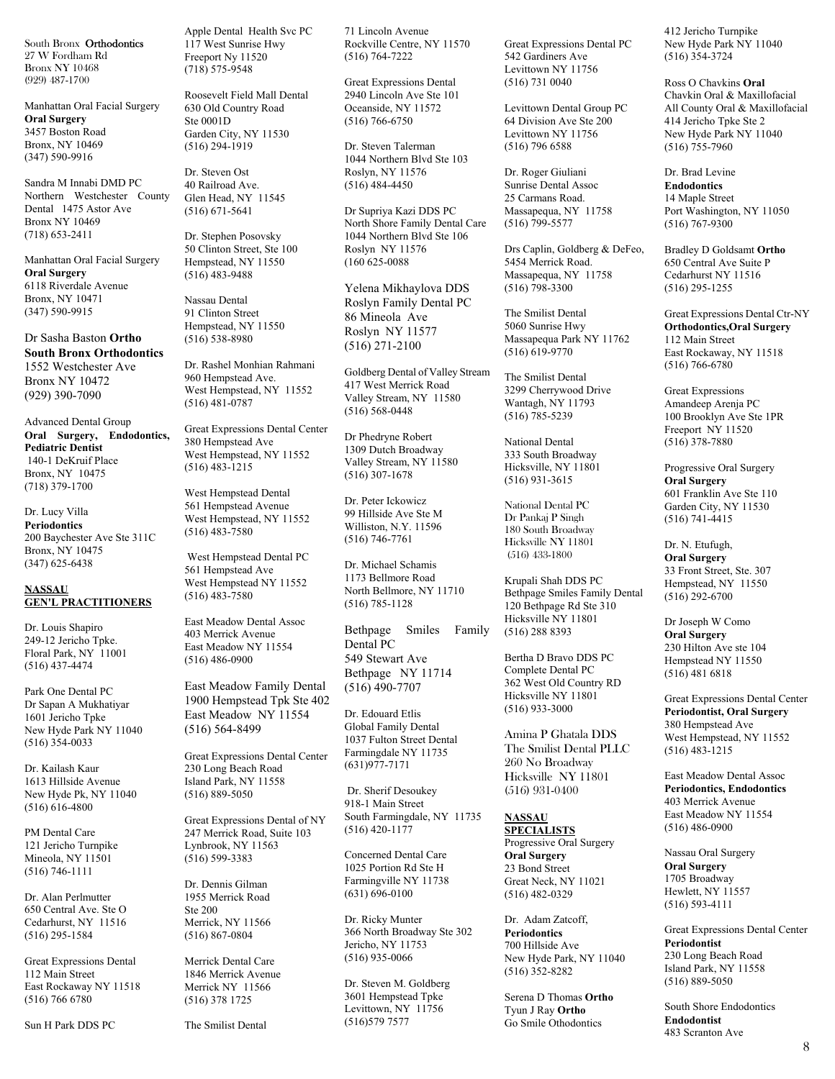South Bronx Orthodontics 27 W Fordham Rd Bronx NY 10468 (929) 487-1700

Manhattan Oral Facial Surgery **Oral Surgery**  3457 Boston Road Bronx, NY 10469 (347) 590-9916

Sandra M Innabi DMD PC Northern Westchester County Dental 1475 Astor Ave Bronx NY 10469 (718) 653-2411

Manhattan Oral Facial Surgery **Oral Surgery**  6118 Riverdale Avenue Bronx, NY 10471 (347) 590-9915

Dr Sasha Baston **Ortho South Bronx Orthodontics** 1552 Westchester Ave Bronx NY 10472 (929) 390-7090

Advanced Dental Group **Oral Surgery, Endodontics, Pediatric Dentist**  140-1 DeKruif Place Bronx, NY 10475 (718) 379-1700

Dr. Lucy Villa **Periodontics**  200 Baychester Ave Ste 311C Bronx, NY 10475 (347) 625-6438

### **NASSAU GEN'L PRACTITIONERS**

Dr. Louis Shapiro 249-12 Jericho Tpke. Floral Park, NY 11001 (516) 437-4474

Park One Dental PC Dr Sapan A Mukhatiyar 1601 Jericho Tpke New Hyde Park NY 11040 (516) 354-0033

Dr. Kailash Kaur 1613 Hillside Avenue New Hyde Pk, NY 11040 (516) 616-4800

PM Dental Care 121 Jericho Turnpike Mineola, NY 11501 (516) 746-1111

Dr. Alan Perlmutter 650 Central Ave. Ste O Cedarhurst, NY 11516 (516) 295-1584

Great Expressions Dental 112 Main Street East Rockaway NY 11518 (516) 766 6780

Sun H Park DDS PC

Apple Dental Health Svc PC 117 West Sunrise Hwy Freeport Ny 11520 (718) 575-9548

Roosevelt Field Mall Dental 630 Old Country Road Ste 0001D Garden City, NY 11530 (516) 294-1919

Dr. Steven Ost 40 Railroad Ave. Glen Head, NY 11545 (516) 671-5641

Dr. Stephen Posovsky 50 Clinton Street, Ste 100 Hempstead, NY 11550 (516) 483-9488

Nassau Dental 91 Clinton Street Hempstead, NY 11550 (516) 538-8980

Dr. Rashel Monhian Rahmani 960 Hempstead Ave. West Hempstead, NY 11552 (516) 481-0787

Great Expressions Dental Center 380 Hempstead Ave West Hempstead, NY 11552 (516) 483-1215

West Hempstead Dental 561 Hempstead Avenue West Hempstead, NY 11552 (516) 483-7580

 West Hempstead Dental PC 561 Hempstead Ave West Hempstead NY 11552 (516) 483-7580

East Meadow Dental Assoc 403 Merrick Avenue East Meadow NY 11554 (516) 486-0900

East Meadow Family Dental 1900 Hempstead Tpk Ste 402 East Meadow NY 11554 (516) 564-8499

Great Expressions Dental Center 230 Long Beach Road Island Park, NY 11558 (516) 889-5050

Great Expressions Dental of NY 247 Merrick Road, Suite 103 Lynbrook, NY 11563 (516) 599-3383

Dr. Dennis Gilman 1955 Merrick Road Ste 200 Merrick, NY 11566 (516) 867-0804

Merrick Dental Care 1846 Merrick Avenue Merrick NY 11566 (516) 378 1725

The Smilist Dental

71 Lincoln Avenue Rockville Centre, NY 11570 (516) 764-7222

Great Expressions Dental 2940 Lincoln Ave Ste 101 Oceanside, NY 11572 (516) 766-6750

Dr. Steven Talerman 1044 Northern Blvd Ste 103 Roslyn, NY 11576 (516) 484-4450

Dr Supriya Kazi DDS PC North Shore Family Dental Care 1044 Northern Blvd Ste 106 Roslyn NY 11576 (160 625-0088

Yelena Mikhaylova DDS Roslyn Family Dental PC 86 Mineola Ave Roslyn NY 11577 (516) 271-2100

Goldberg Dental of Valley Stream 417 West Merrick Road Valley Stream, NY 11580 (516) 568-0448

Dr Phedryne Robert 1309 Dutch Broadway Valley Stream, NY 11580 (516) 307-1678

Dr. Peter Ickowicz 99 Hillside Ave Ste M Williston, N.Y. 11596 (516) 746-7761

Dr. Michael Schamis 1173 Bellmore Road North Bellmore, NY 11710 (516) 785-1128

Bethpage Smiles Family Dental PC 549 Stewart Ave Bethpage NY 11714 (516) 490-7707

Dr. Edouard Etlis Global Family Dental 1037 Fulton Street Dental Farmingdale NY 11735 (631)977-7171

 Dr. Sherif Desoukey 918-1 Main Street South Farmingdale, NY 11735 (516) 420-1177

Concerned Dental Care 1025 Portion Rd Ste H Farmingville NY 11738 (631) 696-0100

Dr. Ricky Munter 366 North Broadway Ste 302 Jericho, NY 11753 (516) 935-0066

Dr. Steven M. Goldberg 3601 Hempstead Tpke Levittown, NY 11756 (516)579 7577

Great Expressions Dental PC 542 Gardiners Ave Levittown NY 11756 (516) 731 0040

Levittown Dental Group PC 64 Division Ave Ste 200 Levittown NY 11756 (516) 796 6588

Dr. Roger Giuliani Sunrise Dental Assoc 25 Carmans Road. Massapequa, NY 11758 (516) 799-5577

Drs Caplin, Goldberg & DeFeo, 5454 Merrick Road. Massapequa, NY 11758 (516) 798-3300

The Smilist Dental 5060 Sunrise Hwy Massapequa Park NY 11762 (516) 619-9770

The Smilist Dental 3299 Cherrywood Drive Wantagh, NY 11793 (516) 785-5239

National Dental 333 South Broadway Hicksville, NY 11801 (516) 931-3615

National Dental PC Dr Pankaj P Singh 180 South Broadway Hicksville NY 11801 (516) 433-1800

Krupali Shah DDS PC Bethpage Smiles Family Dental 120 Bethpage Rd Ste 310 Hicksville NY 11801 (516) 288 8393

Bertha D Bravo DDS PC Complete Dental PC 362 West Old Country RD Hicksville NY 11801 (516) 933-3000

Amina P Ghatala DDS The Smilist Dental PLLC 260 No Broadway Hicksville NY 11801 (516) 931-0400

#### **NASSAU SPECIALISTS**

Progressive Oral Surgery **Oral Surgery**  23 Bond Street Great Neck, NY 11021 (516) 482-0329

Dr. Adam Zatcoff, **Periodontics** 700 Hillside Ave New Hyde Park, NY 11040 (516) 352-8282

Serena D Thomas **Ortho**  Tyun J Ray **Ortho**  Go Smile Othodontics

412 Jericho Turnpike New Hyde Park NY 11040 (516) 354-3724

Ross O Chavkins **Oral**  Chavkin Oral & Maxillofacial All County Oral & Maxillofacial 414 Jericho Tpke Ste 2 New Hyde Park NY 11040 (516) 755-7960

Dr. Brad Levine **Endodontics**  14 Maple Street Port Washington, NY 11050 (516) 767-9300

Bradley D Goldsamt **Ortho**  650 Central Ave Suite P Cedarhurst NY 11516 (516) 295-1255

Great Expressions Dental Ctr-NY **Orthodontics,Oral Surgery**  112 Main Street East Rockaway, NY 11518 (516) 766-6780

Great Expressions Amandeep Arenja PC 100 Brooklyn Ave Ste 1PR Freeport NY 11520 (516) 378-7880

Progressive Oral Surgery **Oral Surgery**  601 Franklin Ave Ste 110 Garden City, NY 11530 (516) 741-4415

Dr. N. Etufugh, **Oral Surgery**  33 Front Street, Ste. 307 Hempstead, NY 11550 (516) 292-6700

Dr Joseph W Como **Oral Surgery**  230 Hilton Ave ste 104 Hempstead NY 11550 (516) 481 6818

Great Expressions Dental Center **Periodontist, Oral Surgery**  380 Hempstead Ave West Hempstead, NY 11552 (516) 483-1215

East Meadow Dental Assoc **Periodontics, Endodontics**  403 Merrick Avenue East Meadow NY 11554 (516) 486-0900

Nassau Oral Surgery **Oral Surgery**  1705 Broadway Hewlett, NY 11557 (516) 593-4111

Great Expressions Dental Center **Periodontist**  230 Long Beach Road Island Park, NY 11558 (516) 889-5050

South Shore Endodontics **Endodontist**  483 Scranton Ave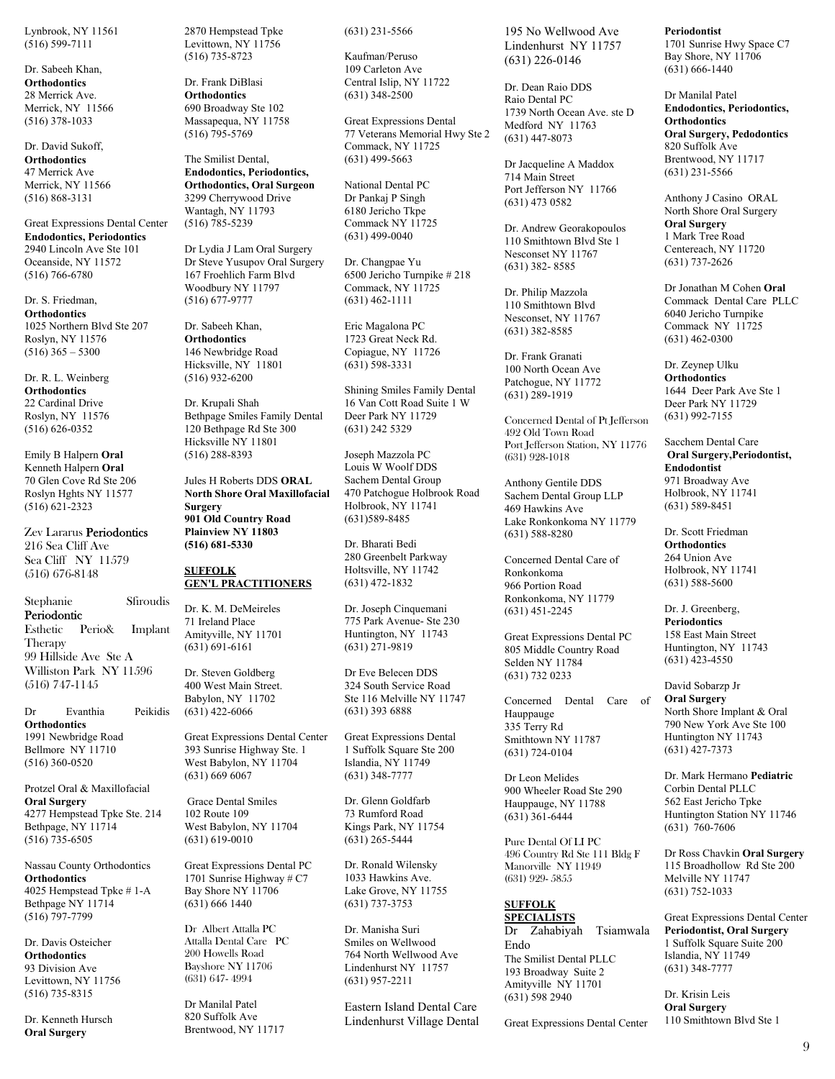Lynbrook, NY 11561 (516) 599-7111

Dr. Sabeeh Khan, **Orthodontics** 28 Merrick Ave. Merrick, NY 11566 (516) 378-1033

Dr. David Sukoff, **Orthodontics** 47 Merrick Ave Merrick, NY 11566 (516) 868-3131

Great Expressions Dental Center **Endodontics, Periodontics**  2940 Lincoln Ave Ste 101 Oceanside, NY 11572 (516) 766-6780

Dr. S. Friedman, **Orthodontics** 1025 Northern Blvd Ste 207 Roslyn, NY 11576  $(516)$  365 – 5300

Dr. R. L. Weinberg **Orthodontics** 22 Cardinal Drive Roslyn, NY 11576 (516) 626-0352

Emily B Halpern **Oral**  Kenneth Halpern **Oral** 70 Glen Cove Rd Ste 206 Roslyn Hghts NY 11577 (516) 621-2323

Zev Lararus Periodontics 216 Sea Cliff Ave Sea Cliff NY 11579 (516) 676-8148

## Stephanie Sfiroudis Periodontic

Esthetic Perio& Implant Therapy 99 Hillside Ave Ste A Williston Park NY 11596 (516) 747-1145

Dr Evanthia Peikidis **Orthodontics**  1991 Newbridge Road Bellmore NY 11710 (516) 360-0520

Protzel Oral & Maxillofacial **Oral Surgery**  4277 Hempstead Tpke Ste. 214 Bethpage, NY 11714 (516) 735-6505

Nassau County Orthodontics **Orthodontics**  4025 Hempstead Tpke # 1-A Bethpage NY 11714 (516) 797-7799

Dr. Davis Osteicher **Orthodontics**  93 Division Ave Levittown, NY 11756 (516) 735-8315

Dr. Kenneth Hursch **Oral Surgery** 

2870 Hempstead Tpke Levittown, NY 11756 (516) 735-8723

Dr. Frank DiBlasi **Orthodontics**  690 Broadway Ste 102 Massapequa, NY 11758 (516) 795-5769

The Smilist Dental, **Endodontics, Periodontics, Orthodontics, Oral Surgeon**  3299 Cherrywood Drive Wantagh, NY 11793 (516) 785-5239

Dr Lydia J Lam Oral Surgery Dr Steve Yusupov Oral Surgery 167 Froehlich Farm Blvd Woodbury NY 11797 (516) 677-9777

Dr. Sabeeh Khan, **Orthodontics** 146 Newbridge Road Hicksville, NY 11801 (516) 932-6200

Dr. Krupali Shah Bethpage Smiles Family Dental 120 Bethpage Rd Ste 300 Hicksville NY 11801 (516) 288-8393

Jules H Roberts DDS **ORAL North Shore Oral Maxillofacial Surgery 901 Old Country Road Plainview NY 11803 (516) 681-5330** 

#### **SUFFOLK GEN'L PRACTITIONERS**

Dr. K. M. DeMeireles 71 Ireland Place Amityville, NY 11701 (631) 691-6161

Dr. Steven Goldberg 400 West Main Street. Babylon, NY 11702 (631) 422-6066

Great Expressions Dental Center 393 Sunrise Highway Ste. 1 West Babylon, NY 11704 (631) 669 6067

 Grace Dental Smiles 102 Route 109 West Babylon, NY 11704 (631) 619-0010

Great Expressions Dental PC 1701 Sunrise Highway # C7 Bay Shore NY 11706 (631) 666 1440

Dr Albert Attalla PC Attalla Dental Care PC 200 Howells Road Bayshore NY 11706 (631) 647- 4994

Dr Manilal Patel 820 Suffolk Ave Brentwood, NY 11717 (631) 231-5566

(631) 348-2500

Kaufman/Peruso 109 Carleton Ave Central Islip, NY 11722

Great Expressions Dental 77 Veterans Memorial Hwy Ste 2 Commack, NY 11725 (631) 499-5663

National Dental PC Dr Pankaj P Singh 6180 Jericho Tkpe Commack NY 11725 (631) 499-0040

Dr. Changpae Yu 6500 Jericho Turnpike # 218 Commack, NY 11725 (631) 462-1111

Eric Magalona PC 1723 Great Neck Rd. Copiague, NY 11726 (631) 598-3331

Shining Smiles Family Dental 16 Van Cott Road Suite 1 W Deer Park NY 11729 (631) 242 5329

Joseph Mazzola PC Louis W Woolf DDS Sachem Dental Group 470 Patchogue Holbrook Road Holbrook, NY 11741 (631)589-8485

Dr. Bharati Bedi 280 Greenbelt Parkway Holtsville, NY 11742 (631) 472-1832

Dr. Joseph Cinquemani 775 Park Avenue- Ste 230 Huntington, NY 11743 (631) 271-9819

Dr Eve Belecen DDS 324 South Service Road Ste 116 Melville NY 11747 (631) 393 6888

Great Expressions Dental 1 Suffolk Square Ste 200 Islandia, NY 11749 (631) 348-7777

Dr. Glenn Goldfarb 73 Rumford Road Kings Park, NY 11754 (631) 265-5444

Dr. Ronald Wilensky 1033 Hawkins Ave. Lake Grove, NY 11755 (631) 737-3753

Dr. Manisha Suri Smiles on Wellwood 764 North Wellwood Ave Lindenhurst NY 11757 (631) 957-2211

Eastern Island Dental Care Lindenhurst Village Dental 195 No Wellwood Ave Lindenhurst NY 11757 (631) 226-0146

Dr. Dean Raio DDS Raio Dental PC 1739 North Ocean Ave. ste D Medford NY 11763 (631) 447-8073

Dr Jacqueline A Maddox 714 Main Street Port Jefferson NY 11766 (631) 473 0582

Dr. Andrew Georakopoulos 110 Smithtown Blvd Ste 1 Nesconset NY 11767 (631) 382- 8585

Dr. Philip Mazzola 110 Smithtown Blvd Nesconset, NY 11767 (631) 382-8585

Dr. Frank Granati 100 North Ocean Ave Patchogue, NY 11772 (631) 289-1919

Concerned Dental of Pt Jefferson 492 Old Town Road Port Jefferson Station, NY 11776 (631) 928-1018

Anthony Gentile DDS Sachem Dental Group LLP 469 Hawkins Ave Lake Ronkonkoma NY 11779 (631) 588-8280

Concerned Dental Care of Ronkonkoma 966 Portion Road Ronkonkoma, NY 11779 (631) 451-2245

Great Expressions Dental PC 805 Middle Country Road Selden NY 11784 (631) 732 0233

Concerned Dental Care of Hauppauge 335 Terry Rd Smithtown NY 11787 (631) 724-0104

Dr Leon Melides 900 Wheeler Road Ste 290 Hauppauge, NY 11788  $(631)$  361-6444

Pure Dental Of LI PC 496 Country Rd Ste 111 Bldg F Manorville NY 11949 (631) 929- 5855

#### **SUFFOLK SPECIALISTS**

Dr Zahabiyah Tsiamwala Endo The Smilist Dental PLLC 193 Broadway Suite 2 Amityville NY 11701 (631) 598 2940

Great Expressions Dental Center

## **Periodontist**

1701 Sunrise Hwy Space C7 Bay Shore, NY 11706 (631) 666-1440

Dr Manilal Patel **Endodontics, Periodontics, Orthodontics Oral Surgery, Pedodontics**  820 Suffolk Ave Brentwood, NY 11717 (631) 231-5566

Anthony J Casino ORAL North Shore Oral Surgery **Oral Surgery**  1 Mark Tree Road Centereach, NY 11720 (631) 737-2626

Dr Jonathan M Cohen **Oral**  Commack Dental Care PLLC 6040 Jericho Turnpike Commack NY 11725 (631) 462-0300

Dr. Zeynep Ulku **Orthodontics**  1644 Deer Park Ave Ste 1 Deer Park NY 11729 (631) 992-7155

Sacchem Dental Care **Oral Surgery,Periodontist, Endodontist**  971 Broadway Ave Holbrook, NY 11741 (631) 589-8451

Dr. Scott Friedman **Orthodontics**  264 Union Ave Holbrook, NY 11741 (631) 588-5600

Dr. J. Greenberg, **Periodontics**  158 East Main Street Huntington, NY 11743 (631) 423-4550

David Sobarzp Jr **Oral Surgery**  North Shore Implant & Oral 790 New York Ave Ste 100 Huntington NY 11743 (631) 427-7373

Dr. Mark Hermano **Pediatric**  Corbin Dental PLLC 562 East Jericho Tpke Huntington Station NY 11746 (631) 760-7606

Dr Ross Chavkin **Oral Surgery**  115 Broadhollow Rd Ste 200 Melville NY 11747 (631) 752-1033

Great Expressions Dental Center **Periodontist, Oral Surgery**  1 Suffolk Square Suite 200 Islandia, NY 11749 (631) 348-7777

Dr. Krisin Leis **Oral Surgery**  110 Smithtown Blvd Ste 1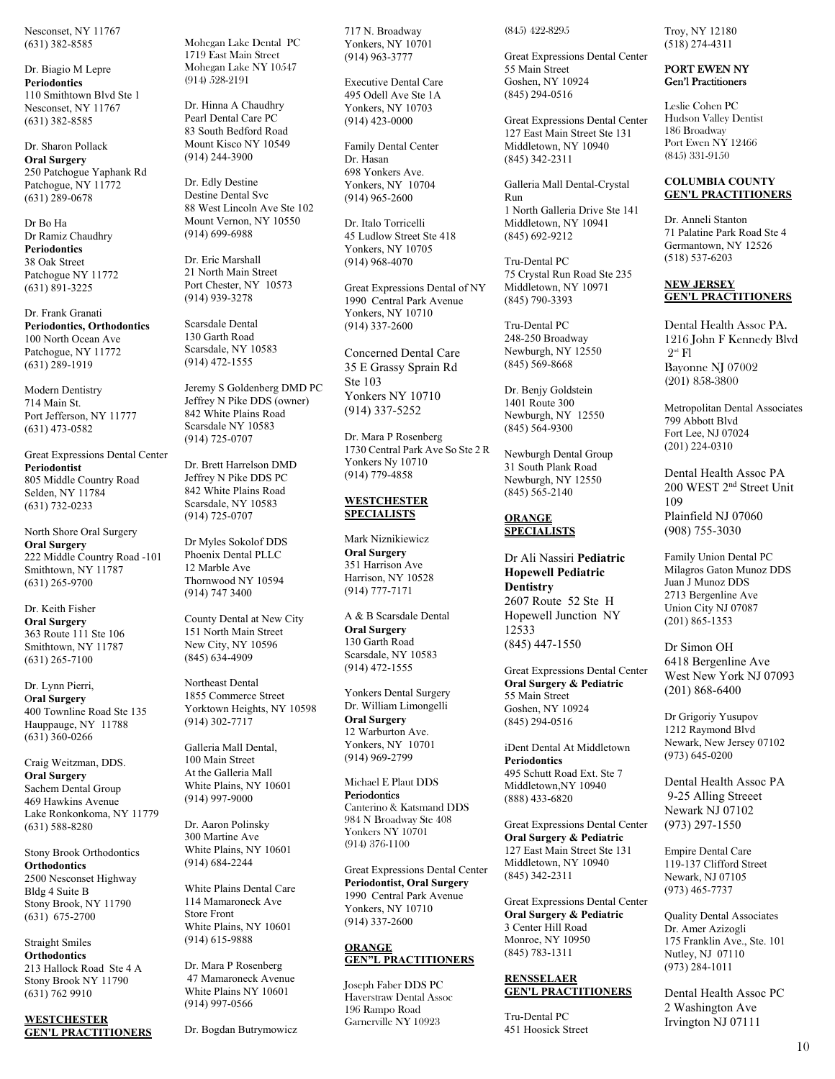Nesconset, NY 11767 (631) 382-8585

Dr. Biagio M Lepre **Periodontics** 110 Smithtown Blvd Ste 1 Nesconset, NY 11767 (631) 382-8585

Dr. Sharon Pollack **Oral Surgery**  250 Patchogue Yaphank Rd Patchogue, NY 11772 (631) 289-0678

Dr Bo Ha Dr Ramiz Chaudhry **Periodontics**  38 Oak Street Patchogue NY 11772 (631) 891-3225

Dr. Frank Granati **Periodontics, Orthodontics**  100 North Ocean Ave Patchogue, NY 11772 (631) 289-1919

Modern Dentistry 714 Main St. Port Jefferson, NY 11777 (631) 473-0582

Great Expressions Dental Center **Periodontist**  805 Middle Country Road Selden, NY 11784 (631) 732-0233

North Shore Oral Surgery **Oral Surgery**  222 Middle Country Road -101 Smithtown, NY 11787 (631) 265-9700

Dr. Keith Fisher **Oral Surgery**  363 Route 111 Ste 106 Smithtown, NY 11787 (631) 265-7100

Dr. Lynn Pierri, O**ral Surgery** 400 Townline Road Ste 135 Hauppauge, NY 11788 (631) 360-0266

Craig Weitzman, DDS. **Oral Surgery**  Sachem Dental Group 469 Hawkins Avenue Lake Ronkonkoma, NY 11779 (631) 588-8280

Stony Brook Orthodontics **Orthodontics**  2500 Nesconset Highway Bldg 4 Suite B Stony Brook, NY 11790 (631) 675-2700

Straight Smiles **Orthodontics**  213 Hallock Road Ste 4 A Stony Brook NY 11790 (631) 762 9910

**WESTCHESTER GEN'L PRACTITIONERS**  Mohegan Lake Dental PC 1719 East Main Street Mohegan Lake NY 10547 (914) 528-2191

Dr. Hinna A Chaudhry Pearl Dental Care PC 83 South Bedford Road Mount Kisco NY 10549 (914) 244-3900

Dr. Edly Destine Destine Dental Svc 88 West Lincoln Ave Ste 102 Mount Vernon, NY 10550 (914) 699-6988

Dr. Eric Marshall 21 North Main Street Port Chester, NY 10573 (914) 939-3278

Scarsdale Dental 130 Garth Road Scarsdale, NY 10583 (914) 472-1555

Jeremy S Goldenberg DMD PC Jeffrey N Pike DDS (owner) 842 White Plains Road Scarsdale NY 10583 (914) 725-0707

Dr. Brett Harrelson DMD Jeffrey N Pike DDS PC 842 White Plains Road Scarsdale, NY 10583 (914) 725-0707

Dr Myles Sokolof DDS Phoenix Dental PLLC 12 Marble Ave Thornwood NY 10594 (914) 747 3400

County Dental at New City 151 North Main Street New City, NY 10596 (845) 634-4909

Northeast Dental 1855 Commerce Street Yorktown Heights, NY 10598 (914) 302-7717

Galleria Mall Dental, 100 Main Street At the Galleria Mall White Plains, NY 10601 (914) 997-9000

Dr. Aaron Polinsky 300 Martine Ave White Plains, NY 10601 (914) 684-2244

White Plains Dental Care 114 Mamaroneck Ave Store Front White Plains, NY 10601 (914) 615-9888

Dr. Mara P Rosenberg 47 Mamaroneck Avenue White Plains NY 10601 (914) 997-0566

Dr. Bogdan Butrymowicz

717 N. Broadway Yonkers, NY 10701 (914) 963-3777

Executive Dental Care 495 Odell Ave Ste 1A Yonkers, NY 10703 (914) 423-0000

Family Dental Center Dr. Hasan 698 Yonkers Ave. Yonkers, NY 10704 (914) 965-2600

Dr. Italo Torricelli 45 Ludlow Street Ste 418 Yonkers, NY 10705 (914) 968-4070

Great Expressions Dental of NY 1990 Central Park Avenue Yonkers, NY 10710 (914) 337-2600

Concerned Dental Care 35 E Grassy Sprain Rd Ste 103 Yonkers NY 10710 (914) 337-5252

Dr. Mara P Rosenberg 1730 Central Park Ave So Ste 2 R Yonkers Ny 10710 (914) 779-4858

## **WESTCHESTER SPECIALISTS**

Mark Niznikiewicz **Oral Surgery**  351 Harrison Ave Harrison, NY 10528 (914) 777-7171

A & B Scarsdale Dental **Oral Surgery**  130 Garth Road Scarsdale, NY 10583 (914) 472-1555

Yonkers Dental Surgery Dr. William Limongelli **Oral Surgery**  12 Warburton Ave. Yonkers, NY 10701 (914) 969-2799

Michael E Plaut DDS **Periodontics** Canterino & Katsmand DDS 984 N Broadway Ste 408 Yonkers NY 10701 (914) 376-1100

Great Expressions Dental Center **Periodontist, Oral Surgery**  1990 Central Park Avenue Yonkers, NY 10710 (914) 337-2600

#### **ORANGE GEN"L PRACTITIONERS**

Joseph Faber DDS PC Haverstraw Dental Assoc 196 Rampo Road Garnerville NY 10923

(845) 422-8295

Great Expressions Dental Center 55 Main Street Goshen, NY 10924 (845) 294-0516

Great Expressions Dental Center 127 East Main Street Ste 131 Middletown, NY 10940 (845) 342-2311

Galleria Mall Dental-Crystal Run

1 North Galleria Drive Ste 141 Middletown, NY 10941 (845) 692-9212

Tru-Dental PC 75 Crystal Run Road Ste 235 Middletown, NY 10971 (845) 790-3393

Tru-Dental PC 248-250 Broadway Newburgh, NY 12550 (845) 569-8668

Dr. Benjy Goldstein 1401 Route 300 Newburgh, NY 12550 (845) 564-9300

Newburgh Dental Group 31 South Plank Road Newburgh, NY 12550 (845) 565-2140

## **ORANGE SPECIALISTS**

Dr Ali Nassiri **Pediatric Hopewell Pediatric Dentistry**  2607 Route 52 Ste H Hopewell Junction NY 12533

(845) 447-1550

Great Expressions Dental Center **Oral Surgery & Pediatric**  55 Main Street Goshen, NY 10924 (845) 294-0516

iDent Dental At Middletown **Periodontics**  495 Schutt Road Ext. Ste 7 Middletown,NY 10940 (888) 433-6820

Great Expressions Dental Center **Oral Surgery & Pediatric**  127 East Main Street Ste 131 Middletown, NY 10940 (845) 342-2311

Great Expressions Dental Center **Oral Surgery & Pediatric**  3 Center Hill Road Monroe, NY 10950 (845) 783-1311

#### **RENSSELAER GEN'L PRACTITIONERS**

Tru-Dental PC 451 Hoosick Street Troy, NY 12180 (518) 274-4311

## PORT EWEN NY Gen'l Practitioners

Leslie Cohen PC Hudson Valley Dentist 186 Broadway Port Ewen NY 12466 (845) 331-9150

## **COLUMBIA COUNTY GEN'L PRACTITIONERS**

Dr. Anneli Stanton 71 Palatine Park Road Ste 4 Germantown, NY 12526 (518) 537-6203

## **NEW JERSEY GEN'L PRACTITIONERS**

Dental Health Assoc PA. 1216 John F Kennedy Blvd  $2<sup>nd</sup>$  Fl Bayonne NJ 07002 (201) 858-3800

Metropolitan Dental Associates 799 Abbott Blvd Fort Lee, NJ 07024 (201) 224-0310

Dental Health Assoc PA 200 WEST 2nd Street Unit 109 Plainfield NJ 07060 (908) 755-3030

Family Union Dental PC Milagros Gaton Munoz DDS Juan J Munoz DDS 2713 Bergenline Ave Union City NJ 07087 (201) 865-1353

Dr Simon OH 6418 Bergenline Ave West New York NJ 07093 (201) 868-6400

Dr Grigoriy Yusupov 1212 Raymond Blvd Newark, New Jersey 07102 (973) 645-0200

Dental Health Assoc PA 9-25 Alling Streeet Newark NJ 07102 (973) 297-1550

Empire Dental Care 119-137 Clifford Street Newark, NJ 07105 (973) 465-7737

Quality Dental Associates Dr. Amer Azizogli 175 Franklin Ave., Ste. 101 Nutley, NJ 07110 (973) 284-1011

Dental Health Assoc PC 2 Washington Ave Irvington NJ 07111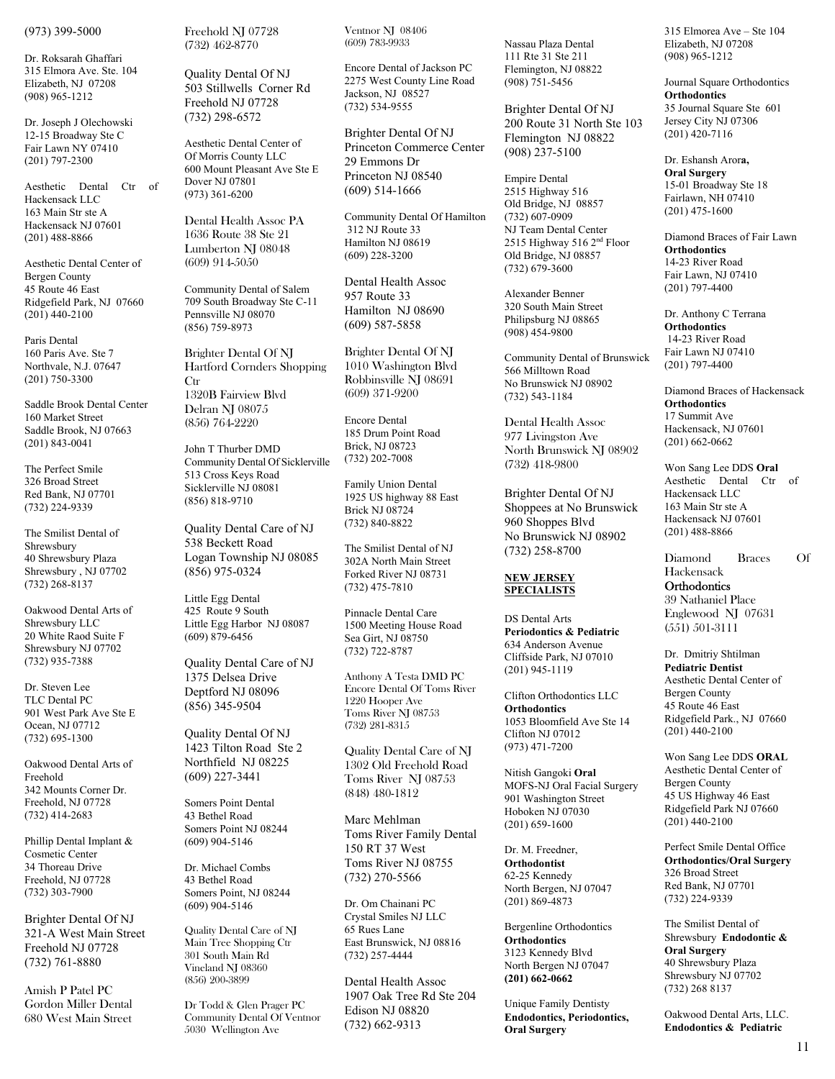(973) 399-5000

Dr. Roksarah Ghaffari 315 Elmora Ave. Ste. 104 Elizabeth, NJ 07208 (908) 965-1212

Dr. Joseph J Olechowski 12-15 Broadway Ste C Fair Lawn NY 07410 (201) 797-2300

Aesthetic Dental Ctr of Hackensack LLC 163 Main Str ste A Hackensack NJ 07601 (201) 488-8866

Aesthetic Dental Center of Bergen County 45 Route 46 East Ridgefield Park, NJ 07660 (201) 440-2100

Paris Dental 160 Paris Ave. Ste 7 Northvale, N.J. 07647 (201) 750-3300

Saddle Brook Dental Center 160 Market Street Saddle Brook, NJ 07663 (201) 843-0041

The Perfect Smile 326 Broad Street Red Bank, NJ 07701 (732) 224-9339

The Smilist Dental of Shrewsbury 40 Shrewsbury Plaza Shrewsbury , NJ 07702 (732) 268-8137

Oakwood Dental Arts of Shrewsbury LLC 20 White Raod Suite F Shrewsbury NJ 07702 (732) 935-7388

Dr. Steven Lee TLC Dental PC 901 West Park Ave Ste E Ocean, NJ 07712 (732) 695-1300

Oakwood Dental Arts of Freehold 342 Mounts Corner Dr. Freehold, NJ 07728 (732) 414-2683

Phillip Dental Implant & Cosmetic Center 34 Thoreau Drive Freehold, NJ 07728 (732) 303-7900

Brighter Dental Of NJ 321-A West Main Street Freehold NJ 07728 (732) 761-8880

Amish P Patel PC Gordon Miller Dental 680 West Main Street Freehold NJ 07728 (732) 462-8770

Quality Dental Of NJ 503 Stillwells Corner Rd Freehold NJ 07728 (732) 298-6572

Aesthetic Dental Center of Of Morris County LLC 600 Mount Pleasant Ave Ste E Dover NJ 07801 (973) 361-6200

Dental Health Assoc PA 1636 Route 38 Ste 21 Lumberton NJ 08048 (609) 914-5050

Community Dental of Salem 709 South Broadway Ste C-11 Pennsville NJ 08070 (856) 759-8973

Brighter Dental Of NJ Hartford Cornders Shopping **Ctr** 1320B Fairview Blvd Delran NJ 08075 (856) 764-2220

John T Thurber DMD Community Dental Of Sicklerville 513 Cross Keys Road Sicklerville NJ 08081 (856) 818-9710

Quality Dental Care of NJ 538 Beckett Road Logan Township NJ 08085 (856) 975-0324

Little Egg Dental 425 Route 9 South Little Egg Harbor NJ 08087 (609) 879-6456

Quality Dental Care of NJ 1375 Delsea Drive Deptford NJ 08096 (856) 345-9504

Quality Dental Of NJ 1423 Tilton Road Ste 2 Northfield NJ 08225 (609) 227-3441

Somers Point Dental 43 Bethel Road Somers Point NJ 08244 (609) 904-5146

Dr. Michael Combs 43 Bethel Road Somers Point, NJ 08244 (609) 904-5146

Quality Dental Care of NJ Main Tree Shopping Ctr 301 South Main Rd Vineland NJ 08360 (856) 200-3899

Dr Todd & Glen Prager PC Community Dental Of Ventnor 5030 Wellington Ave

Ventnor NJ 08406 (609) 783-9933

Encore Dental of Jackson PC 2275 West County Line Road Jackson, NJ 08527 (732) 534-9555

Brighter Dental Of NJ Princeton Commerce Center 29 Emmons Dr Princeton NJ 08540 (609) 514-1666

Community Dental Of Hamilton 312 NJ Route 33 Hamilton NJ 08619 (609) 228-3200

Dental Health Assoc 957 Route 33 Hamilton NJ 08690 (609) 587-5858

Brighter Dental Of NJ 1010 Washington Blvd Robbinsville NJ 08691 (609) 371-9200

Encore Dental 185 Drum Point Road Brick, NJ 08723 (732) 202-7008

Family Union Dental 1925 US highway 88 East Brick NJ 08724 (732) 840-8822

The Smilist Dental of NJ 302A North Main Street Forked River NJ 08731 (732) 475-7810

Pinnacle Dental Care 1500 Meeting House Road Sea Girt, NJ 08750 (732) 722-8787

Anthony A Testa DMD PC Encore Dental Of Toms River 1220 Hooper Ave Toms River NJ 08753 (732) 281-8315

Quality Dental Care of NJ 1302 Old Freehold Road Toms River NJ 08753 (848) 480-1812

Marc Mehlman Toms River Family Dental 150 RT 37 West Toms River NJ 08755 (732) 270-5566

Dr. Om Chainani PC Crystal Smiles NJ LLC 65 Rues Lane East Brunswick, NJ 08816 (732) 257-4444

Dental Health Assoc 1907 Oak Tree Rd Ste 204 Edison NJ 08820 (732) 662-9313

Nassau Plaza Dental 111 Rte 31 Ste 211 Flemington, NJ 08822 (908) 751-5456

Brighter Dental Of NJ 200 Route 31 North Ste 103 Flemington NJ 08822 (908) 237-5100

Empire Dental 2515 Highway 516 Old Bridge, NJ 08857 (732) 607-0909 NJ Team Dental Center 2515 Highway 516 2nd Floor Old Bridge, NJ 08857 (732) 679-3600

Alexander Benner 320 South Main Street Philipsburg NJ 08865 (908) 454-9800

Community Dental of Brunswick 566 Milltown Road No Brunswick NJ 08902 (732) 543-1184

Dental Health Assoc 977 Livingston Ave North Brunswick NJ 08902 (732) 418-9800

Brighter Dental Of NJ Shoppees at No Brunswick 960 Shoppes Blvd No Brunswick NJ 08902 (732) 258-8700

#### **NEW JERSEY SPECIALISTS**

DS Dental Arts **Periodontics & Pediatric**  634 Anderson Avenue Cliffside Park, NJ 07010 (201) 945-1119

Clifton Orthodontics LLC **Orthodontics**  1053 Bloomfield Ave Ste 14 Clifton NJ 07012 (973) 471-7200

Nitish Gangoki **Oral**  MOFS-NJ Oral Facial Surgery 901 Washington Street Hoboken NJ 07030 (201) 659-1600

Dr. M. Freedner, **Orthodontist** 62-25 Kennedy North Bergen, NJ 07047 (201) 869-4873

Bergenline Orthodontics **Orthodontics**  3123 Kennedy Blvd North Bergen NJ 07047 **(201) 662-0662** 

Unique Family Dentisty **Endodontics, Periodontics, Oral Surgery** 

315 Elmorea Ave – Ste 104 Elizabeth, NJ 07208 (908) 965-1212

Journal Square Orthodontics **Orthodontics**  35 Journal Square Ste 601 Jersey City NJ 07306 (201) 420-7116

Dr. Eshansh Aror**a, Oral Surgery**  15-01 Broadway Ste 18 Fairlawn, NH 07410 (201) 475-1600

Diamond Braces of Fair Lawn **Orthodontics**  14-23 River Road Fair Lawn, NJ 07410 (201) 797-4400

Dr. Anthony C Terrana **Orthodontics**  14-23 River Road Fair Lawn NJ 07410 (201) 797-4400

Diamond Braces of Hackensack **Orthodontics**  17 Summit Ave Hackensack, NJ 07601 (201) 662-0662

Won Sang Lee DDS **Oral** Aesthetic Dental Ctr of Hackensack LLC 163 Main Str ste A Hackensack NJ 07601 (201) 488-8866

Diamond Braces Of Hackensack **Orthodontics** 39 Nathaniel Place Englewood NJ 07631 (551) 501-3111

Dr. Dmitriy Shtilman **Pediatric Dentist**  Aesthetic Dental Center of Bergen County 45 Route 46 East Ridgefield Park., NJ 07660  $(201)$  440-2100

Won Sang Lee DDS **ORAL**  Aesthetic Dental Center of Bergen County 45 US Highway 46 East Ridgefield Park NJ 07660 (201) 440-2100

Perfect Smile Dental Office **Orthodontics/Oral Surgery**  326 Broad Street Red Bank, NJ 07701 (732) 224-9339

The Smilist Dental of Shrewsbury **Endodontic & Oral Surgery** 40 Shrewsbury Plaza Shrewsbury NJ 07702 (732) 268 8137

Oakwood Dental Arts, LLC. **Endodontics & Pediatric**